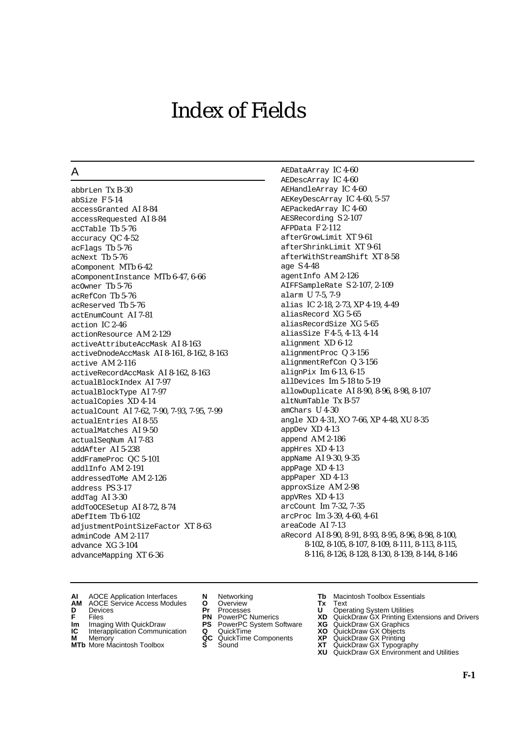# Index of Fields

## A

abbrLen Tx B-30 abSize F 5-14 accessGranted AI 8-84 accessRequested AI 8-84 acCTable Tb 5-76 accuracy QC 4-52 acFlags Tb 5-76 acNext Tb 5-76 aComponent MTb 6-42 aComponentInstance MTb 6-47, 6-66 acOwner Tb 5-76 acRefCon Tb 5-76 acReserved Tb 5-76 actEnumCount AI 7-81 action IC 2-46 actionResource AM 2-129 activeAttributeAccMask AI 8-163 activeDnodeAccMask AI 8-161, 8-162, 8-163 active AM 2-116 activeRecordAccMask AI 8-162, 8-163 actualBlockIndex AI 7-97 actualBlockType AI 7-97 actualCopies XD 4-14 actualCount AI 7-62, 7-90, 7-93, 7-95, 7-99 actualEntries AI 8-55 actualMatches AI 9-50 actualSeqNum AI 7-83 addAfter AI 5-238 addFrameProc QC 5-101 addlInfo AM 2-191 addressedToMe AM 2-126 address PS 3-17 addTag AI 3-30 addToOCESetup AI 8-72, 8-74 aDefItem Tb 6-102 adjustmentPointSizeFactor XT 8-63 adminCode AM 2-117 advance XG 3-104 advanceMapping XT 6-36

AEDataArray IC 4-60 AEDescArray IC 4-60 AEHandleArray IC 4-60 AEKeyDescArray IC 4-60, 5-57 AEPackedArray IC 4-60 AESRecording S 2-107 AFPData F 2-112 afterGrowLimit XT 9-61 afterShrinkLimit XT 9-61 afterWithStreamShift XT 8-58 age S 4-48 agentInfo AM 2-126 AIFFSampleRate S 2-107, 2-109 alarm U 7-5, 7-9 alias IC 2-18, 2-73, XP 4-19, 4-49 aliasRecord XG 5-65 aliasRecordSize XG 5-65 aliasSize F 4-5, 4-13, 4-14 alignment XD 6-12 alignmentProc Q 3-156 alignmentRefCon Q 3-156 alignPix Im 6-13, 6-15 allDevices Im 5-18 to 5-19 allowDuplicate AI 8-90, 8-96, 8-98, 8-107 altNumTable Tx B-57 amChars U 4-30 angle XD 4-31, XO 7-66, XP 4-48, XU 8-35 appDev XD 4-13 append AM 2-186 appHres XD 4-13 appName AI 9-30, 9-35 appPage XD 4-13 appPaper XD 4-13 approxSize AM 2-98 appVRes XD 4-13 arcCount Im 7-32, 7-35 arcProc Im 3-39, 4-60, 4-61 areaCode AI 7-13 aRecord AI 8-90, 8-91, 8-93, 8-95, 8-96, 8-98, 8-100, 8-102, 8-105, 8-107, 8-109, 8-111, 8-113, 8-115, 8-116, 8-126, 8-128, 8-130, 8-139, 8-144, 8-146

- 
- AOCE Service Access Modules **O** Overview **Tx** Text<br>Devices **Devices Devices Devices**
- 
- 
- **Im** Files<br> **Im** Imaging With QuickDraw **PS** PowerPC System Software **XG**<br> **IC** Interapplication Communication **Q** QuickTime **XO**
- **IC** Interapplication Communication **Q** QuickTime **XO M** Memory **XO QC** QuickTime Components **XP M** Memory **QC** QuickTime Components **XP**<br>**MTb** More Macintosh Toolbox **S** Sound **XT**
- **MTb** More Macintosh Toolbox **S** Sound **XT** QuickDraw GX Typography
- 
- **D** Devices **Pr** Processes **U** Operating System Utilities
	-
	-
	-
	-
- **AI** AOCE Application Interfaces **N** Networking **Tb** Macintosh Toolbox Essentials<br> **AM** AOCE Service Access Modules **O** Overview **Tx** Text<br> **D** Devices **Pr** Processes **U** Operating System Utilities
	-
- **F** Files **PN** PowerPC Numerics **XD** QuickDraw GX Printing Extensions and Drivers
	-
	-
	-
	- **XU** QuickDraw GX Environment and Utilities
- **F-1**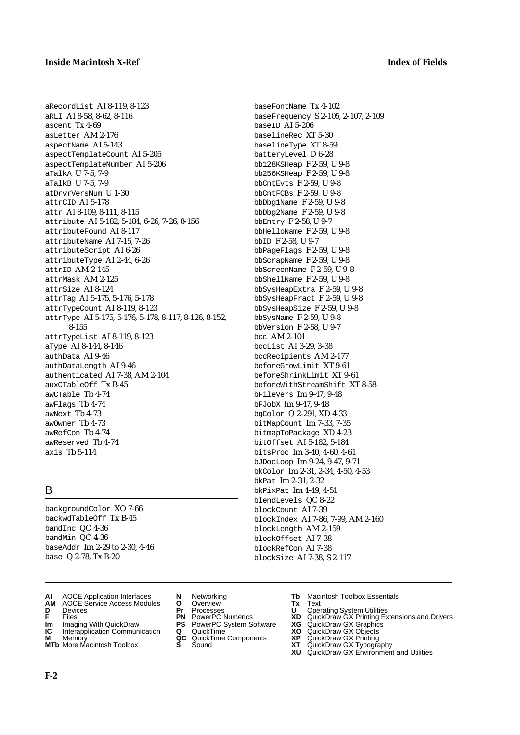aRecordList AI 8-119, 8-123 aRLI AI 8-58, 8-62, 8-116 ascent Tx 4-69 asLetter AM 2-176 aspectName AI 5-143 aspectTemplateCount AI 5-205 aspectTemplateNumber AI 5-206 aTalkA U 7-5, 7-9 aTalkB U 7-5, 7-9 atDrvrVersNum U 1-30 attrCID AI 5-178 attr AI 8-109, 8-111, 8-115 attribute AI 5-182, 5-184, 6-26, 7-26, 8-156 attributeFound AI 8-117 attributeName AI 7-15, 7-26 attributeScript AI 6-26 attributeType AI 2-44, 6-26 attrID AM 2-145 attrMask AM 2-125 attrSize AI 8-124 attrTag AI 5-175, 5-176, 5-178 attrTypeCount AI 8-119, 8-123 attrType AI 5-175, 5-176, 5-178, 8-117, 8-126, 8-152, 8-155 attrTypeList AI 8-119, 8-123 aType AI 8-144, 8-146 authData AI 9-46 authDataLength AI 9-46 authenticated AI 7-38, AM 2-104 auxCTableOff Tx B-45 awCTable Tb 4-74 awFlags Tb 4-74 awNext Tb 4-73 awOwner Tb 4-73 awRefCon Tb 4-74 awReserved Tb 4-74 axis Tb 5-114

# B

backgroundColor XO 7-66 backwdTableOff Tx B-45 bandInc QC 4-36 bandMin QC 4-36 baseAddr Im 2-29 to 2-30, 4-46 base Q 2-78, Tx B-20

- **AI** AOCE Application Interfaces **N** Networking **Tb** Macintosh Toolbox Essentials
- **AM** AOCE Service Access Modules **O** Overview **Tx** Text
- 
- 
- **Im** Imaging With QuickDraw **PS** PowerPC System Software **XG IC** Interapplication Communication **Q** QuickTime **COVIC**
- **IC** Interapplication Communication **Q** QuickTime **XO M** Memory **XP C** QuickTime Components **XP**
- **M** Memory **CONSIST MANUS AND MEMORY AND MEMORY AND MEMORY AND MEMORY OF A VIDEO CONSIST MANUSCRIPS AND MEMORY GALLERY GALLERY CONSISTENT CONTINUES AND MEMORY GALLERY CONTINUES AND MEMORY CONTINUES AND MANUSCRIPS AND MEMOR MTb** More Macintosh Toolbox **S** Sound **XT** QuickDraw GX Typography
- 
- **D** Devices **Pr** Processes **U** Operating System Utilities
	-
	-
	-
	-
	-

baseFontName Tx 4-102 baseFrequency S 2-105, 2-107, 2-109 baseID AI 5-206 baselineRec XT 5-30 baselineType XT 8-59 batteryLevel D 6-28 bb128KSHeap F 2-59, U 9-8 bb256KSHeap F 2-59, U 9-8 bbCntEvts F 2-59, U 9-8 bbCntFCBs F 2-59, U 9-8 bbDbg1Name F 2-59, U 9-8 bbDbg2Name F 2-59, U 9-8 bbEntry F 2-58, U 9-7 bbHelloName F 2-59, U 9-8 bbID F 2-58, U 9-7 bbPageFlags F 2-59, U 9-8 bbScrapName F 2-59, U 9-8 bbScreenName F 2-59, U 9-8 bbShellName F 2-59, U 9-8 bbSysHeapExtra F 2-59, U 9-8 bbSysHeapFract F 2-59, U 9-8 bbSysHeapSize F 2-59, U 9-8 bbSysName F 2-59, U 9-8 bbVersion F 2-58, U 9-7 bcc AM 2-101 bccList AI 3-29, 3-38 bccRecipients AM 2-177 beforeGrowLimit XT 9-61 beforeShrinkLimit XT 9-61 beforeWithStreamShift XT 8-58 bFileVers Im 9-47, 9-48 bFJobX Im 9-47, 9-48 bgColor Q 2-291, XD 4-33 bitMapCount Im 7-33, 7-35 bitmapToPackage XD 4-23 bitOffset AI 5-182, 5-184 bitsProc Im 3-40, 4-60, 4-61 bJDocLoop Im 9-24, 9-47, 9-71 bkColor Im 2-31, 2-34, 4-50, 4-53 bkPat Im 2-31, 2-32 bkPixPat Im 4-49, 4-51 blendLevels QC 8-22 blockCount AI 7-39 blockIndex AI 7-86, 7-99, AM 2-160 blockLength AM 2-159 blockOffset AI 7-38 blockRefCon AI 7-38 blockSize AI 7-38, S 2-117

- 
- 
- **FILENCE CONSIGNATION**<br> **F** Files **PN** PowerPC Numerics **XD** QuickDraw GX Printing Extensions and Drivers<br> **F** Files **PN** PowerPC System Software **XG** QuickDraw GX Graphics<br> **Im** Imaging With QuickDraw **PS** PowerPC System
	-
	-
	-
	- **XU** QuickDraw GX Environment and Utilities

**F-2**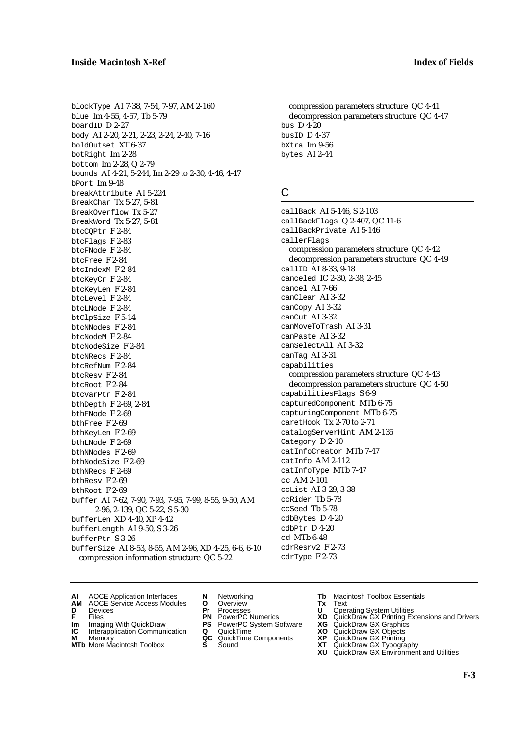blockType AI 7-38, 7-54, 7-97, AM 2-160 blue Im 4-55, 4-57, Tb 5-79 boardID D 2-27 body AI 2-20, 2-21, 2-23, 2-24, 2-40, 7-16 boldOutset XT 6-37 botRight Im 2-28 bottom Im 2-28, Q 2-79 bounds AI 4-21, 5-244, Im 2-29 to 2-30, 4-46, 4-47 bPort Im 9-48 breakAttribute AI 5-224 BreakChar Tx 5-27, 5-81 BreakOverflow Tx 5-27 BreakWord Tx 5-27, 5-81 btcCQPtr F 2-84 btcFlags F 2-83 btcFNode F 2-84 btcFree F 2-84 btcIndexM F 2-84 btcKeyCr F 2-84 btcKeyLen F 2-84 btcLevel F 2-84 btcLNode F 2-84 btClpSize F 5-14 btcNNodes F 2-84 btcNodeM F 2-84 btcNodeSize F 2-84 btcNRecs F 2-84 btcRefNum F 2-84 btcResv F 2-84 btcRoot F 2-84 btcVarPtr F 2-84 bthDepth F 2-69, 2-84 bthFNode F 2-69 bthFree F 2-69 bthKeyLen F 2-69 bthLNode F 2-69 bthNNodes F 2-69 bthNodeSize F 2-69 bthNRecs F 2-69 bthResv F 2-69 bthRoot F 2-69 buffer AI 7-62, 7-90, 7-93, 7-95, 7-99, 8-55, 9-50, AM 2-96, 2-139, QC 5-22, S 5-30 bufferLen XD 4-40, XP 4-42 bufferLength AI 9-50, S 3-26 bufferPtr S 3-26 bufferSize AI 8-53, 8-55, AM 2-96, XD 4-25, 6-6, 6-10 compression information structure QC 5-22

compression parameters structure QC 4-41 decompression parameters structure QC 4-47 bus D 4-20 busID D 4-37 bXtra Im 9-56 bytes AI 2-44

# C

callBack AI 5-146, S 2-103 callBackFlags Q 2-407, QC 11-6 callBackPrivate AI 5-146 callerFlags compression parameters structure QC 4-42 decompression parameters structure QC 4-49 callID AI 8-33, 9-18 canceled IC 2-30, 2-38, 2-45 cancel AI 7-66 canClear AI 3-32 canCopy AI 3-32 canCut AI 3-32 canMoveToTrash AI 3-31 canPaste AI 3-32 canSelectAll AI 3-32 canTag AI 3-31 capabilities compression parameters structure QC 4-43 decompression parameters structure QC 4-50 capabilitiesFlags S 6-9 capturedComponent MTb 6-75 capturingComponent MTb 6-75 caretHook Tx 2-70 to 2-71 catalogServerHint AM 2-135 Category D 2-10 catInfoCreator MTb 7-47 catInfo AM 2-112 catInfoType MTb 7-47 cc AM 2-101 ccList AI 3-29, 3-38 ccRider Tb 5-78 ccSeed Tb 5-78 cdbBytes D 4-20 cdbPtr D 4-20 cd MTb 6-48 cdrResrv2 F 2-73 cdrType F 2-73

- **AI** AOCE Application Interfaces **N** Networking **Tb** Macintosh Toolbox Essentials
- **AM** AOCE Service Access Modules **O** Overview **Tx** Text
- -
- **Im** Files<br> **Im** Imaging With QuickDraw **PS** PowerPC System Software **XG**<br> **IC** Interapplication Communication **Q** QuickTime **XO IC** Interapplication Communication **Q** QuickTime **XO M** Memory **XP QC** QuickTime Components **XP**
- **M** Memory **CC** QuickTime Components **XP**<br> **MTb** More Macintosh Toolbox **S** Sound **XT**
- 
- 
- **D** Devices **Pr** Processes **U** Operating System Utilities
	-
	-
	-
	-
- 
- 
- **F** Files **PN** PowerPC Numerics **XD** QuickDraw GX Printing Extensions and Drivers
	-
	-
	-
- **MTb** More Macintosh Toolbox **S** Sound **XT** QuickDraw GX Typography
	- **XU** QuickDraw GX Environment and Utilities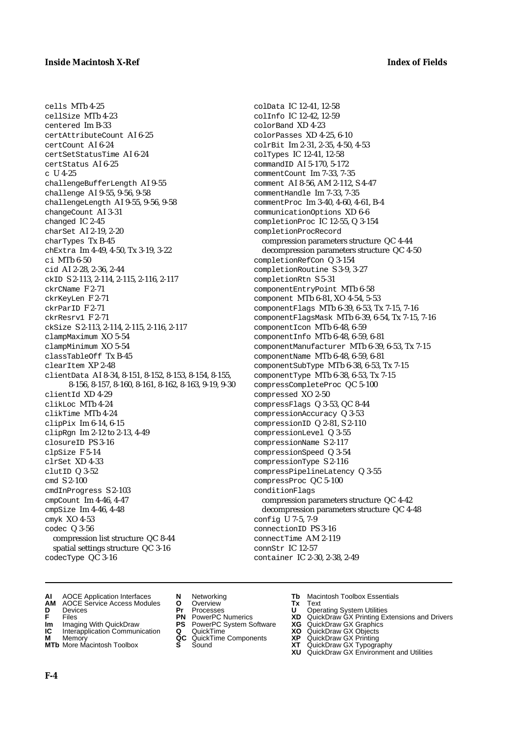cells MTb 4-25

cellSize MTb 4-23 centered Im B-33 certAttributeCount AI 6-25 certCount AI 6-24 certSetStatusTime AI 6-24 certStatus AI 6-25 c U 4-25 challengeBufferLength AI 9-55 challenge AI 9-55, 9-56, 9-58 challengeLength AI 9-55, 9-56, 9-58 changeCount AI 3-31 changed IC 2-45 charSet AI 2-19, 2-20 charTypes Tx B-45 chExtra Im 4-49, 4-50, Tx 3-19, 3-22 ci MTb 6-50 cid AI 2-28, 2-36, 2-44 ckID S 2-113, 2-114, 2-115, 2-116, 2-117 ckrCName F 2-71 ckrKeyLen F 2-71 ckrParID F 2-71 ckrResrv1 F 2-71 ckSize S 2-113, 2-114, 2-115, 2-116, 2-117 clampMaximum XO 5-54 clampMinimum XO 5-54 classTableOff Tx B-45  $cl$ earTtem  $XP$  2-48 clientData AI 8-34, 8-151, 8-152, 8-153, 8-154, 8-155, 8-156, 8-157, 8-160, 8-161, 8-162, 8-163, 9-19, 9-30 clientId XD 4-29 clikLoc MTb 4-24 clikTime MTb 4-24 clipPix Im 6-14, 6-15 clipRgn Im 2-12 to 2-13, 4-49 closureID PS 3-16 clpSize F 5-14 clrSet XD 4-33 clutID Q 3-52 cmd S 2-100 cmdInProgress S 2-103 cmpCount Im 4-46, 4-47 cmpSize Im 4-46, 4-48 cmyk XO 4-53 codec Q 3-56 compression list structure QC 8-44 spatial settings structure QC 3-16 codecType QC 3-16

colData IC 12-41, 12-58 colInfo IC 12-42, 12-59 colorBand XD 4-23 colorPasses XD 4-25, 6-10 colrBit Im 2-31, 2-35, 4-50, 4-53 colTypes IC 12-41, 12-58 commandID AI 5-170, 5-172 commentCount Im 7-33, 7-35 comment AI 8-56, AM 2-112, S 4-47 commentHandle Im 7-33, 7-35 commentProc Im 3-40, 4-60, 4-61, B-4 communicationOptions XD 6-6 completionProc IC 12-55, Q 3-154 completionProcRecord compression parameters structure QC 4-44 decompression parameters structure QC 4-50 completionRefCon Q 3-154 completionRoutine S 3-9, 3-27 completionRtn S 5-31 componentEntryPoint MTb 6-58 component MTb 6-81, XO 4-54, 5-53 componentFlags MTb 6-39, 6-53, Tx 7-15, 7-16 componentFlagsMask MTb 6-39, 6-54, Tx 7-15, 7-16 componentIcon MTb 6-48, 6-59 componentInfo MTb 6-48, 6-59, 6-81 componentManufacturer MTb 6-39, 6-53, Tx 7-15 componentName MTb 6-48, 6-59, 6-81 componentSubType MTb 6-38, 6-53, Tx 7-15 componentType MTb 6-38, 6-53, Tx 7-15 compressCompleteProc QC 5-100 compressed XO 2-50 compressFlags Q 3-53, QC 8-44 compressionAccuracy Q 3-53 compressionID Q 2-81, S 2-110 compressionLevel Q 3-55 compressionName S 2-117 compressionSpeed Q 3-54 compressionType S 2-116 compressPipelineLatency Q 3-55 compressProc QC 5-100 conditionFlags compression parameters structure QC 4-42 decompression parameters structure QC 4-48 config U 7-5, 7-9 connectionID PS 3-16 connectTime AM 2-119 connStr IC 12-57 container IC 2-30, 2-38, 2-49

- **AI** AOCE Application Interfaces **N** Networking **Tb** Macintosh Toolbox Essentials
- **AM** AOCE Service Access Modules **O** Overview **Tx** Text
- 
- 
- **Im** Imaging With QuickDraw **PS** PowerPC System Software **XG IC** Interapplication Communication **Q** QuickTime **COVIC**
- **IC** Interapplication Communication **Q** QuickTime **XO M** Memory **XP C** QuickTime Components **XP**
- **M** Memory **CONSIST MANUS AND MEMORY AND MEMORY AND MEMORY AND MEMORY OF A VIDEO CONSIST MANUSCRIPS AND MEMORY GALLERY GALLERY CONSISTENT CONTINUES AND MEMORY GALLERY CONTINUES AND MEMORY CONTINUES AND MANUSCRIPS AND MEMOR**
- 
- **D** Devices **Pr** Processes **U** Operating System Utilities
	-
	-
	-
	-
- 
- 
- **F** Files **PN** PowerPC Numerics **XD** QuickDraw GX Printing Extensions and Drivers
	-
	-
	-
- **MTb** More Macintosh Toolbox **S** Sound **XT** QuickDraw GX Typography
	- **XU** QuickDraw GX Environment and Utilities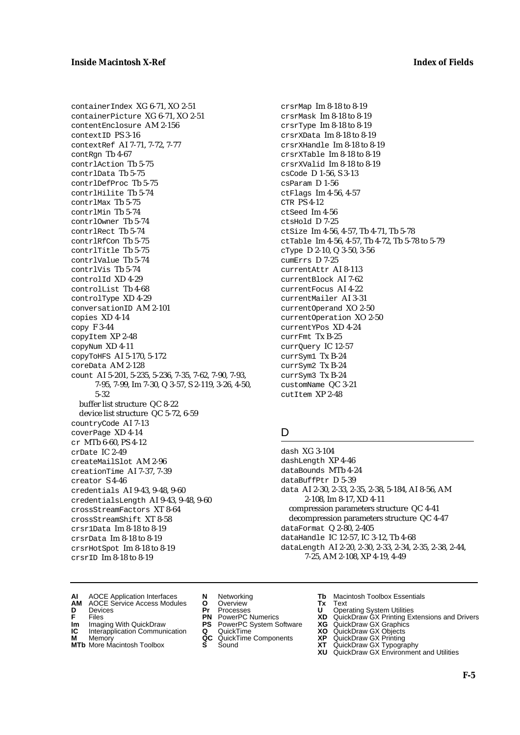containerIndex XG 6-71, XO 2-51 containerPicture XG 6-71, XO 2-51 contentEnclosure AM 2-156 contextID PS 3-16 contextRef AI 7-71, 7-72, 7-77 contRgn Tb 4-67 contrlAction Tb 5-75 contrlData Tb 5-75 contrlDefProc Tb 5-75 contrlHilite Tb 5-74 contrlMax Tb 5-75 contrlMin Tb 5-74 contrlOwner Tb 5-74 contrlRect Tb 5-74 contrlRfCon Tb 5-75 contrlTitle Tb 5-75 contrlValue Tb 5-74 contrlVis Tb 5-74 controlId XD 4-29 controlList Tb 4-68 controlType XD 4-29 conversationID AM 2-101 copies XD 4-14 copy F 3-44 copyItem XP 2-48 copyNum XD 4-11 copyToHFS AI 5-170, 5-172 coreData AM 2-128 count AI 5-201, 5-235, 5-236, 7-35, 7-62, 7-90, 7-93, 7-95, 7-99, Im 7-30, Q 3-57, S 2-119, 3-26, 4-50, 5-32 buffer list structure QC 8-22 device list structure QC 5-72, 6-59 countryCode AI 7-13 coverPage XD 4-14 cr MTb 6-60, PS 4-12 crDate IC 2-49 createMailSlot AM 2-96 creationTime AI 7-37, 7-39 creator S 4-46 credentials AI 9-43, 9-48, 9-60 credentialsLength AI 9-43, 9-48, 9-60 crossStreamFactors XT 8-64 crossStreamShift XT 8-58 crsr1Data Im 8-18 to 8-19 crsrData Im 8-18 to 8-19 crsrHotSpot Im 8-18 to 8-19 crsrID Im 8-18 to 8-19

crsrMap Im 8-18 to 8-19 crsrMask Im 8-18 to 8-19 crsrType Im 8-18 to 8-19 crsrXData Im 8-18 to 8-19 crsrXHandle Im 8-18 to 8-19 crsrXTable Im 8-18 to 8-19 crsrXValid Im 8-18 to 8-19 csCode D 1-56, S 3-13 csParam D 1-56 ctFlags Im 4-56, 4-57 CTR PS 4-12 ctSeed Im 4-56 ctsHold D 7-25 ctSize Im 4-56, 4-57, Tb 4-71, Tb 5-78 ctTable Im 4-56, 4-57, Tb 4-72, Tb 5-78 to 5-79 cType D 2-10, Q 3-50, 3-56 cumErrs D 7-25 currentAttr AI 8-113 currentBlock AI 7-62 currentFocus AI 4-22 currentMailer AI 3-31 currentOperand XO 2-50 currentOperation XO 2-50 currentYPos XD 4-24 currFmt Tx B-25 currQuery IC 12-57 currSym1 Tx B-24 currSym2 Tx B-24 currSym3 Tx B-24 customName QC 3-21 cutItem XP 2-48

### D

dash XG 3-104 dashLength XP 4-46 dataBounds MTb 4-24 dataBuffPtr D 5-39 data AI 2-30, 2-33, 2-35, 2-38, 5-184, AI 8-56, AM 2-108, Im 8-17, XD 4-11 compression parameters structure QC 4-41 decompression parameters structure QC 4-47 dataFormat Q 2-80, 2-405 dataHandle IC 12-57, IC 3-12, Tb 4-68 dataLength AI 2-20, 2-30, 2-33, 2-34, 2-35, 2-38, 2-44, 7-25, AM 2-108, XP 4-19, 4-49

- **AI** AOCE Application Interfaces **N** Networking **Tb** Macintosh Toolbox Essentials
- **AM** AOCE Service Access Modules **O** Overview **Tx** Text
- 
- 
- **Im** Files<br> **Im** Imaging With QuickDraw **PS** PowerPC System Software **XG**<br> **IC** Interapplication Communication **Q** QuickTime **XO IC** Interapplication Communication **Q** QuickTime **XO M** Memory **XP QC** QuickTime Components **XP**
- **M** Memory **CONSISTENT MEMORY AND MEMORY MEMORY AND MEMORY AND MEMORY AND <b>CONSISTENT CONSISTENT** WAS A VIOLENCE CONSISTENT OF A VIOLENCE CONSISTENT OF A VIOLENCE CONSISTENT OF A VIOLENCE CONSISTENT OF A VIOLENCE CONSISTEN
- 
- 
- **D** Devices **Pr** Processes **U** Operating System Utilities
	-
	-
	-
	-
- 
- 
- **F** Files **PN** PowerPC Numerics **XD** QuickDraw GX Printing Extensions and Drivers
	-
	-
	-
- **MTb** More Macintosh Toolbox **S** Sound **XT** QuickDraw GX Typography
	- **XU** QuickDraw GX Environment and Utilities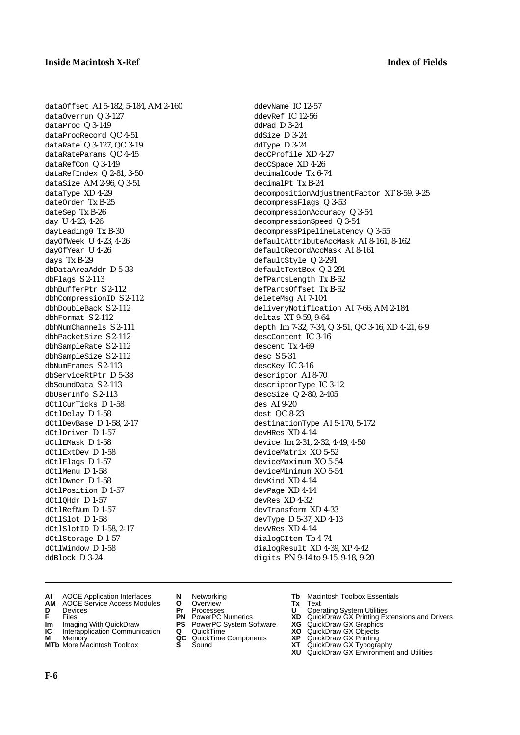dataOffset AI 5-182, 5-184, AM 2-160 dataOverrun Q 3-127 dataProc Q 3-149 dataProcRecord QC 4-51 dataRate Q 3-127, QC 3-19 dataRateParams QC 4-45 dataRefCon Q 3-149 dataRefIndex Q 2-81, 3-50 dataSize AM 2-96, Q 3-51 dataType XD 4-29 dateOrder Tx B-25 dateSep Tx B-26 day U 4-23, 4-26 dayLeading0 Tx B-30 dayOfWeek U 4-23, 4-26 dayOfYear U 4-26 days Tx B-29 dbDataAreaAddr D 5-38 dbFlags S 2-113 dbhBufferPtr S 2-112 dbhCompressionID S 2-112 dbhDoubleBack S 2-112 dbhFormat S 2-112 dbhNumChannels S 2-111 dbhPacketSize S 2-112 dbhSampleRate S 2-112 dbhSampleSize S 2-112 dbNumFrames S 2-113 dbServiceRtPtr D 5-38 dbSoundData S 2-113 dbUserInfo S 2-113 dCtlCurTicks D 1-58 dCtlDelay D 1-58 dCtlDevBase D 1-58, 2-17 dCtlDriver D 1-57 dCtlEMask D 1-58 dCtlExtDev D 1-58 dCtlFlags D 1-57 dCtlMenu D 1-58 dCtlOwner D 1-58 dCtlPosition D 1-57 dCtlOHdr D 1-57 dCtlRefNum D 1-57 dCtlSlot D 1-58 dCtlSlotID D 1-58, 2-17 dCtlStorage D1-57 dCtlWindow D 1-58 ddBlock D 3-24

ddevName IC 12-57 ddevRef IC 12-56 ddPad D 3-24 ddSize D 3-24 ddType D 3-24 decCProfile XD 4-27 decCSpace XD 4-26 decimalCode Tx 6-74 decimalPt Tx B-24 decompositionAdjustmentFactor XT 8-59, 9-25 decompressFlags Q 3-53 decompressionAccuracy Q 3-54 decompressionSpeed Q 3-54 decompressPipelineLatency Q 3-55 defaultAttributeAccMask AI 8-161, 8-162 defaultRecordAccMask AI 8-161 defaultStyle Q 2-291 defaultTextBox Q 2-291 defPartsLength Tx B-52 defPartsOffset Tx B-52 deleteMsg AI 7-104 deliveryNotification AI 7-66, AM 2-184 deltas XT 9-59, 9-64 depth Im 7-32, 7-34, Q 3-51, QC 3-16, XD 4-21, 6-9 descContent IC 3-16 descent Tx 4-69 desc S 5-31 descKey IC 3-16 descriptor AI 8-70 descriptorType IC 3-12 descSize Q 2-80, 2-405 des AI 9-20 dest QC 8-23 destinationType AI 5-170, 5-172 devHRes XD 4-14 device Im 2-31, 2-32, 4-49, 4-50 deviceMatrix XO 5-52 deviceMaximum XO 5-54 deviceMinimum XO 5-54 devKind XD 4-14 devPage XD 4-14 devRes XD 4-32 devTransform XD 4-33 devType D 5-37, XD 4-13 devVRes XD 4-14 dialogCItem Tb 4-74 dialogResult XD 4-39, XP 4-42

- digits PN 9-14 to 9-15, 9-18, 9-20
- **AI** AOCE Application Interfaces **N** Networking **Tb** Macintosh Toolbox Essentials<br> **AM** AOCE Service Access Modules **O** Overview **Tx** Text<br> **D** Devices **Pr** Processes **U** Operating System Utilities
- **AM** AOCE Service Access Modules **O** Overview **Tx** Text
- 
- 
- **Im** Imaging With QuickDraw **PS** PowerPC System Software **XG** QuickDraw GX Graphics **Im** Imaging With QuickDraw **PS** PowerPC System Software<br> **IC** Interapplication Communication **Q** QuickTime<br> **M** Memorv **GC** QuickTime Components
- 
- **M** Memory **Manual Components QC** QuickTime Components **MTb** More Macintosh Toolbox **S** Sound **MTb** More Macintosh Toolbox **S** Sound **XT** QuickDraw GX Typography
- 
- **D** Devices **Pr** Processes **U** Operating System Utilities
	-
	-
	-
	-
- 
- 
- **F** Files **PN** PowerPC Numerics **XD** QuickDraw GX Printing Extensions and Drivers
	-
	-
	-
	- **XU** QuickDraw GX Environment and Utilities

**F-6**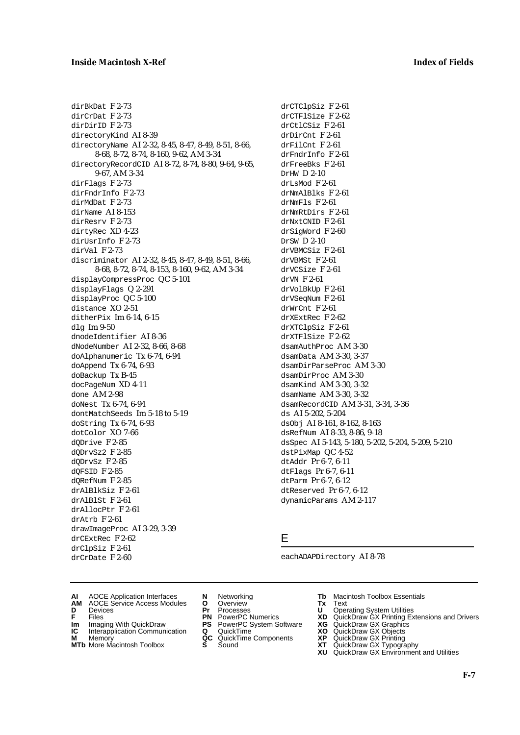### **Inside Macintosh X-Ref Index of Fields**

dirBkDat F 2-73 dirCrDat F 2-73 dirDirID F 2-73 directoryKind AI 8-39 directoryName AI 2-32, 8-45, 8-47, 8-49, 8-51, 8-66, 8-68, 8-72, 8-74, 8-160, 9-62, AM 3-34 directoryRecordCID AI 8-72, 8-74, 8-80, 9-64, 9-65, 9-67, AM 3-34 dirFlags F 2-73 dirFndrInfo F 2-73 dirMdDat F 2-73 dirName AI 8-153 dirResrv F 2-73 dirtyRec XD 4-23 dirUsrInfo F 2-73 dirVal F 2-73 discriminator AI 2-32, 8-45, 8-47, 8-49, 8-51, 8-66, 8-68, 8-72, 8-74, 8-153, 8-160, 9-62, AM 3-34 displayCompressProc QC 5-101 displayFlags Q 2-291 displayProc QC 5-100 distance XO 2-51 ditherPix Im 6-14, 6-15 dlg Im 9-50 dnodeIdentifier AI 8-36 dNodeNumber AI 2-32, 8-66, 8-68 doAlphanumeric Tx 6-74, 6-94 doAppend Tx 6-74, 6-93 doBackup Tx B-45 docPageNum XD 4-11 done AM 2-98 doNest Tx 6-74, 6-94 dontMatchSeeds Im 5-18 to 5-19 doString Tx 6-74, 6-93 dotColor XO 7-66 dQDrive F 2-85 dQDrvSz2 F 2-85 dQDrvSz F 2-85 dQFSID F 2-85 dQRefNum F 2-85 drAlBlkSiz F 2-61 drAlBlSt F 2-61 drAllocPtr F 2-61 drAtrb F 2-61 drawImageProc AI 3-29, 3-39 drCExtRec F 2-62 drClpSiz F 2-61

drCTClpSiz F 2-61 drCTFlSize F 2-62 drCtlCSiz F 2-61 drDirCnt F 2-61 drFilCnt F 2-61 drFndrInfo F 2-61 drFreeBks F 2-61 DrHW D 2-10 drLsMod F 2-61 drNmAlBlks F 2-61 drNmFls F 2-61 drNmRtDirs F 2-61 drNxtCNID F 2-61 drSigWord F 2-60 DrSW D 2-10 drVBMCSiz F 2-61 drVBMSt F 2-61 drVCSize F 2-61 drVN F 2-61 drVolBkUp F 2-61 drVSeqNum F 2-61 drWrCnt F 2-61 drXExtRec F 2-62 drXTClpSiz F 2-61 drXTFlSize F 2-62 dsamAuthProc AM 3-30 dsamData AM 3-30, 3-37 dsamDirParseProc AM 3-30 dsamDirProc AM 3-30 dsamKind AM 3-30, 3-32 dsamName AM 3-30, 3-32 dsamRecordCID AM 3-31, 3-34, 3-36 ds AI 5-202, 5-204 dsObj AI 8-161, 8-162, 8-163 dsRefNum AI 8-33, 8-86, 9-18 dsSpec AI 5-143, 5-180, 5-202, 5-204, 5-209, 5-210 dstPixMap QC 4-52 dtAddr Pr 6-7, 6-11 dtFlags Pr 6-7, 6-11 dtParm Pr 6-7, 6-12 dtReserved Pr 6-7, 6-12 dynamicParams AM 2-117

### E

eachADAPDirectory AI 8-78

- **AI** AOCE Application Interfaces **N** Networking **Tb** Macintosh Toolbox Essentials<br> **AM** AOCE Service Access Modules **O** Overview **Tx** Text<br> **D** Devices **Pr** Processes **U** Operating System Utilities
- AOCE Service Access Modules **O** Overview **Tx** Text<br>Devices **Devices Devices Devices**
- 

drCrDate F 2-60

- 
- **Im** Imaging With QuickDraw **PS** PowerPC System Software<br> **IC** Interapplication Communication **Q** QuickTime<br> **M** Memorv **GC** QuickTime Components
- **M** Memory **M** Memory **QC** QuickTime Components<br>**MTb** More Macintosh Toolbox **S** Sound
- **MTb** More Macintosh Toolbox **S** Sound **XT** QuickDraw GX Typography
- 
- **D** Devices **Pr** Processes **U** Operating System Utilities
	-
	-
	-
	-
- 
- 
- **F** Files **PN** PowerPC Numerics **XD** QuickDraw GX Printing Extensions and Drivers
- **Im** Imaging With QuickDraw **PS** PowerPC System Software **XG** QuickDraw GX Graphics
	-
	-
	-
	- **XU** QuickDraw GX Environment and Utilities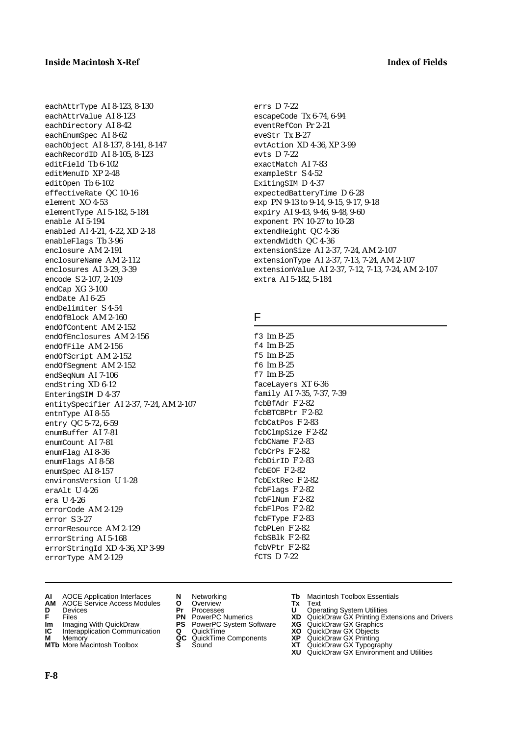eachAttrType AI 8-123, 8-130 eachAttrValue AI 8-123 eachDirectory AI 8-42 eachEnumSpec AI 8-62 eachObject AI 8-137, 8-141, 8-147 eachRecordID AI 8-105, 8-123 editField Tb 6-102 editMenuID XP 2-48 editOpen Tb 6-102 effectiveRate QC 10-16 element XO 4-53 elementType AI 5-182, 5-184 enable AI 5-194 enabled AI 4-21, 4-22, XD 2-18 enableFlags Tb 3-96 enclosure AM 2-191 enclosureName AM 2-112 enclosures AI 3-29, 3-39 encode S 2-107, 2-109 endCap XG 3-100 endDate AI 6-25 endDelimiter S 4-54 endOfBlock AM 2-160 endOfContent AM 2-152 endOfEnclosures AM 2-156 endOfFile AM 2-156 endOfScript AM 2-152 endOfSegment AM 2-152 endSeqNum AI 7-106 endString XD 6-12 EnteringSIM D 4-37 entitySpecifier AI 2-37, 7-24, AM 2-107 entnType AI 8-55 entry QC 5-72, 6-59 enumBuffer AI 7-81 enumCount AI 7-81 enumFlag AI 8-36 enumFlags AI 8-58 enumSpec AI 8-157 environsVersion U 1-28 eraAlt U 4-26 era U 4-26 errorCode AM 2-129 error S 3-27 errorResource AM 2-129 errorString AI 5-168 errorStringId XD 4-36, XP 3-99 errorType AM 2-129

- **AI** AOCE Application Interfaces **N** Networking **Tb** Macintosh Toolbox Essentials
- **AM** AOCE Service Access Modules **O** Overview **Tx** Text
- 
- 
- **Im** Imaging With QuickDraw **PS** PowerPC System Software **XG IC** Interapplication Communication **Q** QuickTime **COVIC**
- **IC** Interapplication Communication **Q** QuickTime **XO M** Memory **XP C** QuickTime Components **XP M** Memory **CONTAGONAL MANUSICAL CONTRACT MEMORY AND MEMORY OF A MEMORY CONTRACT MEMORY CONTRACT OF A VIDEO CONTRACT CONTRACT CONTRACT CONTRACT CONTRACT CONTRACT CONTRACT CONTRACT CONTRACT CONTRACT CONTRACT CONTRACT CONTRA**
- **MTb** More Macintosh Toolbox **S** Sound **XT** QuickDraw GX Typography
- 
- 
- 
- 
- 
- -

ExitingSIM D 4-37 expectedBatteryTime D 6-28 exp PN 9-13 to 9-14, 9-15, 9-17, 9-18 expiry AI 9-43, 9-46, 9-48, 9-60 exponent PN 10-27 to 10-28 extendHeight QC 4-36 extendWidth QC 4-36 extensionSize AI 2-37, 7-24, AM 2-107 extensionType AI 2-37, 7-13, 7-24, AM 2-107 extensionValue AI 2-37, 7-12, 7-13, 7-24, AM 2-107 extra AI 5-182, 5-184

# F

errs D 7-22

evts D 7-22

exactMatch AI 7-83 exampleStr S 4-52

escapeCode Tx 6-74, 6-94 eventRefCon Pr 2-21 eveStr Tx B-27

evtAction XD 4-36, XP 3-99

f3 Im B-25 f4 Im B-25 f5 Im B-25 f6 Im B-25 f7 Im B-25 faceLayers XT 6-36 family AI 7-35, 7-37, 7-39 fcbBfAdr F 2-82 fcbBTCBPtr F 2-82 fcbCatPos F 2-83 fcbClmpSize F 2-82 fcbCName F 2-83 fcbCrPs F 2-82 fcbDirID F 2-83 fcbEOF F 2-82 fcbExtRec F 2-82 fcbFlags F 2-82 fcbFlNum F 2-82 fcbFlPos F 2-82 fcbFType F 2-83 fcbPLen F 2-82 fcbSBlk F 2-82  $f$ chVPtr  $F$  2-82 fCTS D 7-22

- 
- **D** Devices **Pr** Processes **U** Operating System Utilities
- **FILENCE CONSISTENTS AND CONSIST OF A THE PROCESSES**<br> **F** Files **PN** PowerPC Numerics **XD** QuickDraw GX Printing Extensions and Drivers<br> **F** Files **PN** PowerPC System Software **XG** QuickDraw GX Graphics
	-
	-
	-
	- **XU** QuickDraw GX Environment and Utilities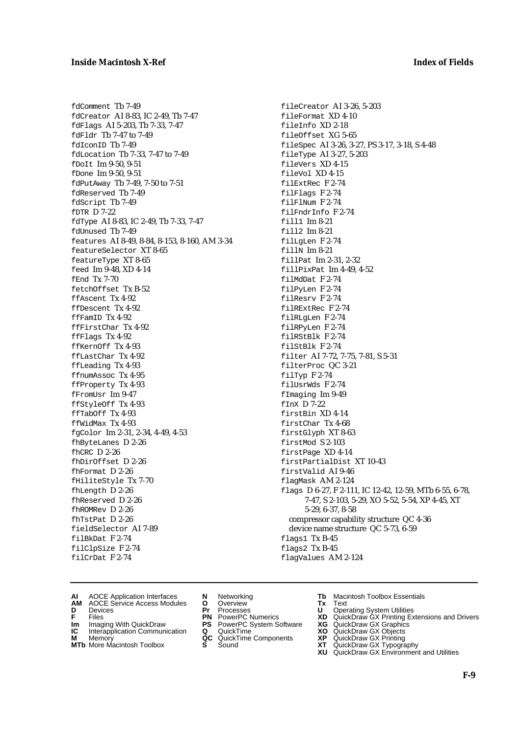fdComment Tb 7-49 fdCreator AI 8-83, IC 2-49, Tb 7-47 fdFlags AI 5-203, Tb 7-33, 7-47 fdFldr Tb 7-47 to 7-49 fdIconID Tb 7-49 fdLocation Tb 7-33, 7-47 to 7-49 fDoIt Im 9-50, 9-51 fDone Im 9-50, 9-51 fdPutAway Tb 7-49, 7-50 to 7-51 fdReserved Tb 7-49 fdScript Tb 7-49 fDTR D 7-22 fdType AI 8-83, IC 2-49, Tb 7-33, 7-47 fdUnused Tb 7-49 features AI 8-49, 8-84, 8-153, 8-160, AM 3-34 featureSelector XT 8-65 featureType XT 8-65 feed Im 9-48, XD 4-14 fEnd Tx 7-70 fetchOffset Tx B-52 ffAscent Tx 4-92 ffDescent Tx 4-92 ffFamID Tx 4-92 ffFirstChar Tx 4-92 ffFlags Tx 4-92 ffKernOff Tx 4-93 ffLastChar Tx 4-92 ffLeading Tx 4-93 ffnumAssoc Tx 4-95 ffProperty Tx 4-93 fFromUsr Im 9-47 ffStyleOff Tx 4-93 ffTabOff Tx 4-93 ffWidMax Tx 4-93 fgColor Im 2-31, 2-34, 4-49, 4-53 fhByteLanes D 2-26 fhCRC D 2-26 fhDirOffset D 2-26 fhFormat D 2-26 fHiliteStyle Tx 7-70 fhLength D 2-26 fhReserved D 2-26 fhROMRev D 2-26 fhTstPat D 2-26 fieldSelector AI 7-89 filBkDat F 2-74 filClpSize F 2-74 filCrDat F 2-74

fileCreator AI 3-26, 5-203 fileFormat XD 4-10 fileInfo XD 2-18 fileOffset XG 5-65 fileSpec AI 3-26, 3-27, PS 3-17, 3-18, S 4-48 fileType AI 3-27, 5-203 fileVers XD 4-15 fileVol XD 4-15 filExtRec F 2-74 filFlags F 2-74 filFlNum F 2-74 filFndrInfo F 2-74 fill1 Im 8-21 fill2 Im 8-21 filLgLen F 2-74 fillN Im 8-21 fillPat Im 2-31, 2-32 fillPixPat Im 4-49, 4-52 filMdDat F 2-74 filPyLen F 2-74 filResrv F 2-74 filRExtRec F 2-74 filRLgLen F 2-74 filRPyLen F 2-74 filRStBlk F 2-74 filStBlk F 2-74 filter AI 7-72, 7-75, 7-81, S 5-31 filterProc QC 3-21 filTyp F 2-74 filUsrWds F 2-74 fImaging Im 9-49 fInX D 7-22 firstBin XD 4-14 firstChar Tx 4-68 firstGlyph XT 8-63 firstMod S 2-103 firstPage XD 4-14 firstPartialDist XT 10-43 firstValid AI 9-46 flagMask AM 2-124 flags D 6-27, F 2-111, IC 12-42, 12-59, MTb 6-55, 6-78, 7-47, S 2-103, 5-29, XO 5-52, 5-54, XP 4-45, XT 5-29, 6-37, 8-58 compressor capability structure QC 4-36 device name structure QC 5-73, 6-59 flags1 Tx B-45 flags2 Tx B-45 flagValues AM 2-124

- **AI** AOCE Application Interfaces **N** Networking **Tb** Macintosh Toolbox Essentials<br> **AM** AOCE Service Access Modules **O** Overview **Tx** Text<br> **D** Devices **Pr** Processes **U** Operating System Utilities
- AOCE Service Access Modules **O** Overview **Tx** Text<br>Devices **Devices Devices Devices**
- 
- **Im** Imaging With QuickDraw **PS** PowerPC System Software **XG** QuickDraw GX Graphics
- **Im** Imaging With QuickDraw **PS** PowerPC System Software<br> **IC** Interapplication Communication **Q** QuickTime<br> **M** Memorv **GC** QuickTime Components
- **M** Memory **M** Memory **QC** QuickTime Components<br>**MTb** More Macintosh Toolbox **S** Sound
- 
- 
- **D** Devices **Pr** Processes **U** Operating System Utilities
	-
	-
	-
	-
- 
- 
- **F** Files **PN** PowerPC Numerics **XD** QuickDraw GX Printing Extensions and Drivers
	-
	-
	-
- **MTb** More Macintosh Toolbox **S** Sound **XT** QuickDraw GX Typography
	- **XU** QuickDraw GX Environment and Utilities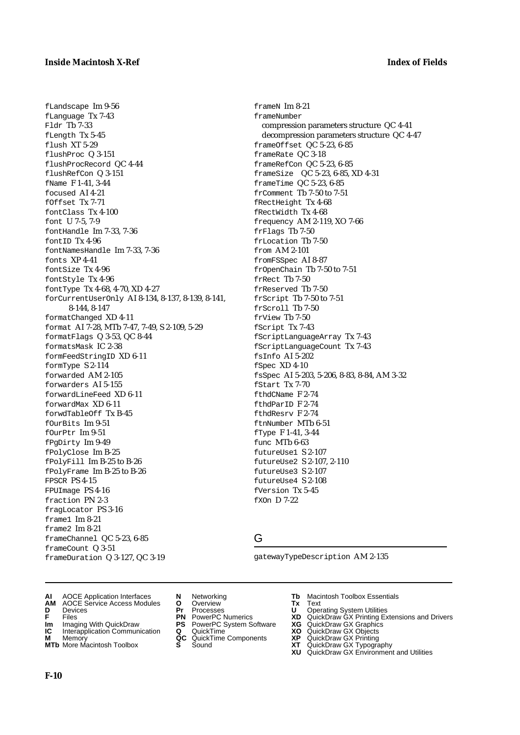fLandscape Im 9-56 fLanguage Tx 7-43 Fldr Tb 7-33 fLength Tx 5-45 flush XT 5-29 flushProc Q 3-151 flushProcRecord QC 4-44 flushRefCon Q 3-151 fName F 1-41, 3-44 focused AI 4-21 fOffset Tx 7-71 fontClass Tx 4-100 font U 7-5, 7-9 fontHandle Im 7-33, 7-36 fontID Tx 4-96 fontNamesHandle Im 7-33, 7-36 fonts XP 4-41 fontSize Tx 4-96 fontStyle Tx 4-96 fontType Tx 4-68, 4-70, XD 4-27 forCurrentUserOnly AI 8-134, 8-137, 8-139, 8-141, 8-144, 8-147 formatChanged XD 4-11 format AI 7-28, MTb 7-47, 7-49, S 2-109, 5-29 formatFlags Q 3-53, QC 8-44 formatsMask IC 2-38 formFeedStringID XD 6-11 formType S 2-114 forwarded AM 2-105 forwarders AI 5-155 forwardLineFeed XD 6-11 forwardMax XD 6-11 forwdTableOff Tx B-45 fOurBits Im 9-51 fOurPtr Im 9-51 fPgDirty Im 9-49 fPolyClose Im B-25 fPolyFill Im B-25 to B-26 fPolyFrame Im B-25 to B-26 FPSCR PS 4-15 FPUImage PS 4-16 fraction PN 2-3 fragLocator PS 3-16 frame1 Im 8-21 frame2 Im 8-21 frameChannel QC 5-23, 6-85 frameCount Q 3-51 frameDuration Q 3-127, QC 3-19

frameN Im 8-21 frameNumber compression parameters structure QC 4-41 decompression parameters structure QC 4-47 frameOffset QC 5-23, 6-85 frameRate QC 3-18 frameRefCon QC 5-23, 6-85 frameSize QC 5-23, 6-85, XD 4-31 frameTime QC 5-23, 6-85 frComment Tb 7-50 to 7-51 fRectHeight Tx 4-68 fRectWidth Tx 4-68 frequency AM 2-119, XO 7-66 frFlags Tb 7-50 frLocation Tb 7-50 from AM 2-101 fromFSSpec AI 8-87 frOpenChain Tb 7-50 to 7-51 frRect Tb 7-50 frReserved Tb 7-50 frScript Tb 7-50 to 7-51 frScroll Tb 7-50 frView Tb 7-50 fScript Tx 7-43 fScriptLanguageArray Tx 7-43 fScriptLanguageCount Tx 7-43 fsInfo AI 5-202 fSpec XD 4-10 fsSpec AI 5-203, 5-206, 8-83, 8-84, AM 3-32 fStart Tx 7-70 fthdCName F 2-74 fthdParID F 2-74 fthdResrv F 2-74 ftnNumber MTb 6-51 fType F 1-41, 3-44 func MTb 6-63 futureUse1 S 2-107 futureUse2 S 2-107, 2-110 futureUse3 S 2-107 futureUse4 S 2-108 fVersion Tx 5-45 fXOn D 7-22

G

gatewayTypeDescription AM 2-135

- **AI** AOCE Application Interfaces **N** Networking **Tb** Macintosh Toolbox Essentials
- **AM** AOCE Service Access Modules **O** Overview **Tx** Text
- 
- 
- **Im** Imaging With QuickDraw **PS** PowerPC System Software<br> **IC** Interapplication Communication **Q** QuickTime<br> **M** Memorv **GC** QuickTime Components
- 
- **M** Memory **Markt Communication**<br> **M** Memory **QC** QuickTime Components<br> **MTb** More Macintosh Toolbox **S** Sound **MTb** More Macintosh Toolbox **S** Sound **XT** QuickDraw GX Typography
- 
- 
- 
- 
- -
- 
- **D** Devices **Pr** Processes **U** Operating System Utilities
- **F** Files **PN** PowerPC Numerics **XD** QuickDraw GX Printing Extensions and Drivers
- **Im** Imaging With QuickDraw **PS** PowerPC System Software **XG** QuickDraw GX Graphics
	-
	-
	- **XU** QuickDraw GX Environment and Utilities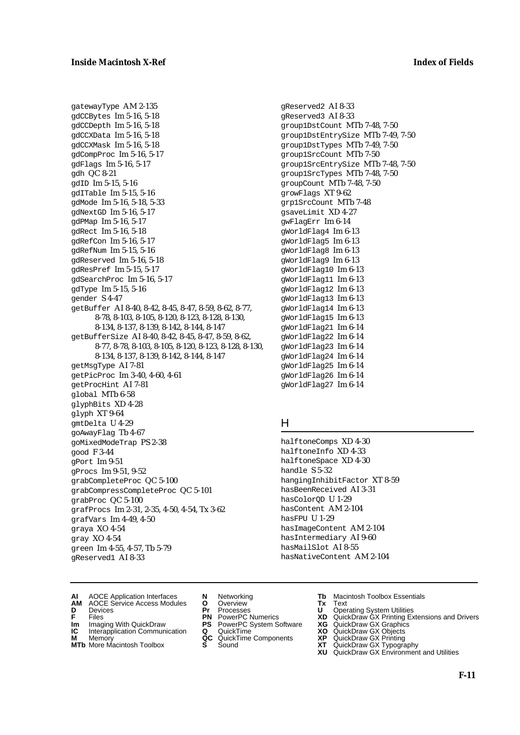gatewayType AM 2-135 gdCCBytes Im 5-16, 5-18 gdCCDepth Im 5-16, 5-18 gdCCXData Im 5-16, 5-18 gdCCXMask Im 5-16, 5-18 gdCompProc Im 5-16, 5-17 gdFlags Im 5-16, 5-17 gdh QC 8-21 gdID Im 5-15, 5-16 gdITable Im 5-15, 5-16 gdMode Im 5-16, 5-18, 5-33 gdNextGD Im 5-16, 5-17 gdPMap Im 5-16, 5-17 gdRect Im 5-16, 5-18 gdRefCon Im 5-16, 5-17 gdRefNum Im 5-15, 5-16 gdReserved Im 5-16, 5-18 gdResPref Im 5-15, 5-17 gdSearchProc Im 5-16, 5-17 gdType Im 5-15, 5-16 gender S 4-47 getBuffer AI 8-40, 8-42, 8-45, 8-47, 8-59, 8-62, 8-77, 8-78, 8-103, 8-105, 8-120, 8-123, 8-128, 8-130, 8-134, 8-137, 8-139, 8-142, 8-144, 8-147 getBufferSize AI 8-40, 8-42, 8-45, 8-47, 8-59, 8-62, 8-77, 8-78, 8-103, 8-105, 8-120, 8-123, 8-128, 8-130, 8-134, 8-137, 8-139, 8-142, 8-144, 8-147 getMsgType AI 7-81 getPicProc Im 3-40, 4-60, 4-61 getProcHint AI 7-81 global MTb 6-58 glyphBits XD 4-28 glyph XT 9-64 gmtDelta U 4-29 goAwayFlag Tb 4-67 goMixedModeTrap PS 2-38 good F 3-44 gPort Im 9-51 gProcs Im 9-51, 9-52 grabCompleteProc QC 5-100 grabCompressCompleteProc QC 5-101 grabProc QC 5-100 grafProcs Im 2-31, 2-35, 4-50, 4-54, Tx 3-62 grafVars Im 4-49, 4-50 graya XO 4-54 gray XO 4-54 green Im 4-55, 4-57, Tb 5-79 gReserved1 AI 8-33

gReserved2 AI 8-33 gReserved3 AI 8-33 group1DstCount MTb 7-48, 7-50 group1DstEntrySize MTb 7-49, 7-50 group1DstTypes MTb 7-49, 7-50 group1SrcCount MTb 7-50 group1SrcEntrySize MTb 7-48, 7-50 group1SrcTypes MTb 7-48, 7-50 groupCount MTb 7-48, 7-50 growFlags XT 9-62 grp1SrcCount MTb 7-48 gsaveLimit XD 4-27 gwFlagErr Im 6-14 gWorldFlag4 Im 6-13 gWorldFlag5 Im 6-13 gWorldFlag8 Im 6-13 gWorldFlag9 Im 6-13 gWorldFlag10 Im 6-13 gWorldFlag11 Im 6-13 gWorldFlag12 Im 6-13 gWorldFlag13 Im 6-13 gWorldFlag14 Im 6-13 gWorldFlag15 Im 6-13 gWorldFlag21 Im 6-14 gWorldFlag22 Im 6-14 gWorldFlag23 Im 6-14 gWorldFlag24 Im 6-14 gWorldFlag25 Im 6-14 gWorldFlag26 Im 6-14 gWorldFlag27 Im 6-14

### H

halftoneComps XD 4-30 halftoneInfo XD 4-33 halftoneSpace XD 4-30 handle S 5-32 hangingInhibitFactor XT 8-59 hasBeenReceived AI 3-31 hasColorQD U 1-29 hasContent AM 2-104 hasFPU U 1-29 hasImageContent AM 2-104 hasIntermediary AI 9-60 hasMailSlot AI 8-55 hasNativeContent AM 2-104

- **AI** AOCE Application Interfaces **N** Networking **Tb** Macintosh Toolbox Essentials
- **AM** AOCE Service Access Modules **O** Overview **Tx** Text
- 
- **Im** Files<br> **Im** Imaging With QuickDraw **PS** PowerPC System Software **XG**<br> **IC** Interapplication Communication **Q** QuickTime **XO**
- **IC** Interapplication Communication **Q** QuickTime **XO M** Memory **XP QC** QuickTime Components **XP**
- 
- **M** Memory **CC** QuickTime Components **XP**<br> **MTb** More Macintosh Toolbox **S** Sound **XT MTb** More Macintosh Toolbox **S** Sound **XT** QuickDraw GX Typography
- 
- **D** Devices **Pr** Processes **U** Operating System Utilities
	-
	-
	-
	-
- 
- 
- **F** Files **PN** PowerPC Numerics **XD** QuickDraw GX Printing Extensions and Drivers
	-
	-
	-
	-
	- **XU** QuickDraw GX Environment and Utilities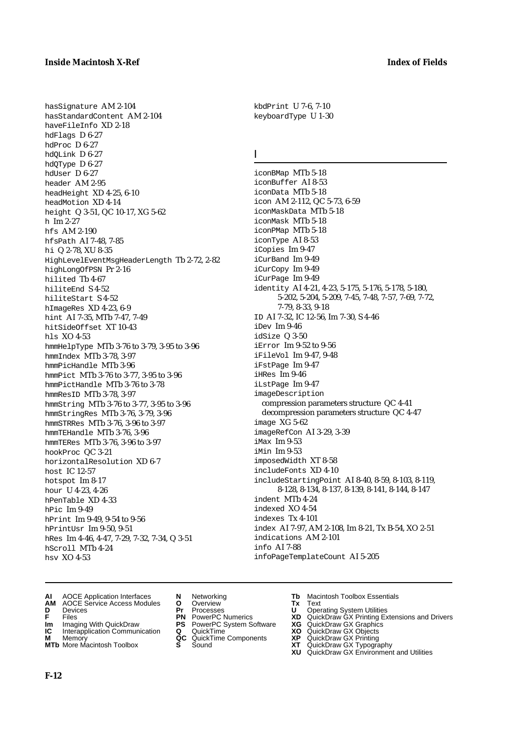hasSignature AM 2-104 hasStandardContent AM 2-104 haveFileInfo XD 2-18 hdFlags D 6-27 hdProc D 6-27 hdQLink D 6-27 hdQType D 6-27 hdUser D 6-27 header AM 2-95 headHeight XD 4-25, 6-10 headMotion XD 4-14 height Q 3-51, QC 10-17, XG 5-62 h Im 2-27 hfs AM 2-190 hfsPath AI 7-48, 7-85 hi Q 2-78, XU 8-35 HighLevelEventMsgHeaderLength Tb 2-72, 2-82 highLongOfPSN Pr 2-16 hilited Tb 4-67 hiliteEnd S 4-52 hiliteStart S 4-52 hImageRes XD 4-23, 6-9 hint AI 7-35, MTb 7-47, 7-49 hitSideOffset XT 10-43 hls XO 4-53 hmmHelpType MTb 3-76 to 3-79, 3-95 to 3-96 hmmIndex MTb 3-78, 3-97 hmmPicHandle MTb 3-96 hmmPict MTb 3-76 to 3-77, 3-95 to 3-96 hmmPictHandle MTb 3-76 to 3-78 hmmResID MTb 3-78, 3-97 hmmString MTb 3-76 to 3-77, 3-95 to 3-96 hmmStringRes MTb 3-76, 3-79, 3-96 hmmSTRRes MTb 3-76, 3-96 to 3-97 hmmTEHandle MTb 3-76, 3-96 hmmTERes MTb 3-76, 3-96 to 3-97 hookProc QC 3-21 horizontalResolution XD 6-7 host IC 12-57 hotspot Im 8-17 hour U 4-23, 4-26 hPenTable XD 4-33  $hpic$  Im 9-49 hPrint Im 9-49, 9-54 to 9-56 hPrintUsr Im 9-50, 9-51 hRes Im 4-46, 4-47, 7-29, 7-32, 7-34, Q 3-51 hScroll MTb 4-24 hsv XO 4-53

kbdPrint U 7-6, 7-10 keyboardType U 1-30

### I

iconBMap MTb 5-18 iconBuffer AI 8-53 iconData MTb 5-18 icon AM 2-112, QC 5-73, 6-59 iconMaskData MTb 5-18 iconMask MTb 5-18 iconPMap MTb 5-18 iconType AI 8-53 iCopies Im 9-47 iCurBand Im 9-49 iCurCopy Im 9-49 iCurPage Im 9-49 identity AI 4-21, 4-23, 5-175, 5-176, 5-178, 5-180, 5-202, 5-204, 5-209, 7-45, 7-48, 7-57, 7-69, 7-72, 7-79, 8-33, 9-18 ID AI 7-32, IC 12-56, Im 7-30, S 4-46 iDev Im 9-46 idSize Q 3-50 iError Im 9-52 to 9-56 iFileVol Im 9-47, 9-48 iFstPage Im 9-47 iHRes Im 9-46 iLstPage Im 9-47 imageDescription compression parameters structure QC 4-41 decompression parameters structure QC 4-47 image XG 5-62 imageRefCon AI 3-29, 3-39 iMax Im 9-53 iMin Im 9-53 imposedWidth XT 8-58 includeFonts XD 4-10 includeStartingPoint AI 8-40, 8-59, 8-103, 8-119, 8-128, 8-134, 8-137, 8-139, 8-141, 8-144, 8-147 indent MTb 4-24 indexed XO 4-54 indexes Tx 4-101 index AI 7-97, AM 2-108, Im 8-21, Tx B-54, XO 2-51 indications AM 2-101 info AI 7-88 infoPageTemplateCount AI 5-205

- **AI** AOCE Application Interfaces **N** Networking **Tb** Macintosh Toolbox Essentials
- **AM** AOCE Service Access Modules **O** Overview **Tx** Text
- 
- 
- **Im** Imaging With QuickDraw **PS** PowerPC System Software **XG IC** Interapplication Communication **Q** QuickTime **COVIC**
- **IC** Interapplication Communication **Q** QuickTime **XO M** Memory **XP C** QuickTime Components **XP**
- **M** Memory **CONTAGONAL MANUSICAL CONTRACT MEMORY AND MEMORY OF A MEMORY CONTRACT MEMORY CONTRACT OF A MANUSICAL CONTRACT CONTRACT CONTRACT CONTRACT CONTRACT CONTRACT CONTRACT CONTRACT CONTRACT CONTRACT CONTRACT CONTRACT CO**
- 
- **D** Devices **Pr** Processes **U** Operating System Utilities
	-
	-
	-
	-
- 
- 
- **FILENCE CONSIGNATION**<br> **F** Files **PN** PowerPC Numerics **XD** QuickDraw GX Printing Extensions and Drivers<br> **F** Files **PN** PowerPC System Software **XG** QuickDraw GX Graphics<br> **Im** Imaging With QuickDraw **PS** PowerPC System
	-
	-
	-
- **MTb** More Macintosh Toolbox **S** Sound **XT** QuickDraw GX Typography
	- **XU** QuickDraw GX Environment and Utilities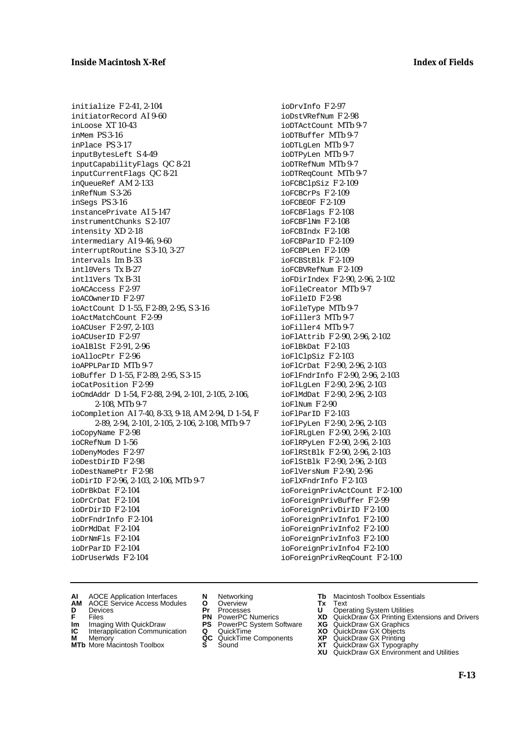initialize F 2-41, 2-104 initiatorRecord AI 9-60 inLoose XT 10-43 inMem PS 3-16 inPlace PS 3-17 inputBytesLeft S 4-49 inputCapabilityFlags QC 8-21 inputCurrentFlags QC 8-21 inQueueRef AM 2-133 inRefNum S 3-26 inSegs PS 3-16 instancePrivate AI 5-147 instrumentChunks S 2-107 intensity XD 2-18 intermediary AI 9-46, 9-60 interruptRoutine S 3-10, 3-27 intervals Im B-33 intl0Vers Tx B-27 intl1Vers Tx B-31 ioACAccess F 2-97 ioACOwnerID F 2-97 ioActCount D 1-55, F 2-89, 2-95, S 3-16 ioActMatchCount F 2-99 ioACUser F 2-97, 2-103 ioACUserID F 2-97 ioAlBlSt F 2-91, 2-96 ioAllocPtr F 2-96 ioAPPLParTD MTh 9-7 ioBuffer D 1-55, F 2-89, 2-95, S 3-15 ioCatPosition F 2-99 ioCmdAddr D 1-54, F 2-88, 2-94, 2-101, 2-105, 2-106, 2-108, MTb 9-7 ioCompletion AI 7-40, 8-33, 9-18, AM 2-94, D 1-54, F 2-89, 2-94, 2-101, 2-105, 2-106, 2-108, MTb 9-7 ioCopyName F 2-98 ioCRefNum D 1-56 ioDenyModes F 2-97 ioDestDirID F 2-98 ioDestNamePtr F 2-98 ioDirID F 2-96, 2-103, 2-106, MTb 9-7 ioDrBkDat F 2-104 ioDrCrDat F 2-104 ioDrDirID F 2-104 ioDrFndrInfo F 2-104 ioDrMdDat F 2-104 ioDrNmFls F 2-104 ioDrParID F 2-104 ioDrUserWds F 2-104

ioDrvInfo F 2-97 ioDstVRefNum F 2-98 ioDTActCount MTb 9-7 ioDTBuffer MTb 9-7 ioDTLgLen MTb 9-7 ioDTPyLen MTb 9-7 ioDTRefNum MTb 9-7 ioDTReqCount MTb 9-7 ioFCBClpSiz F 2-109 ioFCBCrPs F 2-109 ioFCBEOF F 2-109 ioFCBFlags F 2-108 ioFCBFlNm F 2-108 ioFCBIndx F 2-108 ioFCBParID F 2-109 ioFCBPLen F 2-109 ioFCBStBlk F 2-109 ioFCBVRefNum F 2-109 ioFDirIndex F 2-90, 2-96, 2-102 ioFileCreator MTb 9-7 ioFileID F 2-98 ioFileType MTb 9-7 ioFiller3 MTb 9-7 ioFiller4 MTb 9-7 ioFlAttrib F 2-90, 2-96, 2-102 ioFlBkDat F 2-103 ioFlClpSiz F 2-103 ioFlCrDat F 2-90, 2-96, 2-103 ioFlFndrInfo F 2-90, 2-96, 2-103 ioFlLgLen F 2-90, 2-96, 2-103 ioFlMdDat F 2-90, 2-96, 2-103 ioFlNum F 2-90 ioFlParID F 2-103 ioFlPyLen F 2-90, 2-96, 2-103 ioFlRLgLen F 2-90, 2-96, 2-103 ioFlRPyLen F 2-90, 2-96, 2-103 ioFlRStBlk F 2-90, 2-96, 2-103 ioFlStBlk F 2-90, 2-96, 2-103 ioFlVersNum F 2-90, 2-96 ioFlXFndrInfo F 2-103 ioForeignPrivActCount F 2-100 ioForeignPrivBuffer F 2-99 ioForeignPrivDirID F 2-100 ioForeignPrivInfo1 F 2-100 ioForeignPrivInfo2 F 2-100 ioForeignPrivInfo3 F 2-100 ioForeignPrivInfo4 F 2-100 ioForeignPrivReqCount F 2-100

- **AI** AOCE Application Interfaces **N** Networking **Tb** Macintosh Toolbox Essentials<br> **AM** AOCE Service Access Modules **O** Overview **Tx** Text<br> **D** Devices **Pr** Processes **U** Operating System Utilities
- AOCE Service Access Modules **O** Overview **Tx** Text<br>Devices **Devices Devices Devices**
- 
- **Im** Imaging With QuickDraw **PS** PowerPC System Software **XG** QuickDraw GX Graphics
- **Im** Imaging With QuickDraw **PS** PowerPC System Software<br> **IC** Interapplication Communication **Q** QuickTime<br> **M** Memorv **GC** QuickTime Components
- **M** Memory **M** Memory **QC** QuickTime Components<br>**MTb** More Macintosh Toolbox **S** Sound
- **MTb** More Macintosh Toolbox **S** Sound **XT** QuickDraw GX Typography
- 
- **D** Devices **Pr** Processes **U** Operating System Utilities
	-
	-
	-
	-
- 
- 
- **F** Files **PN** PowerPC Numerics **XD** QuickDraw GX Printing Extensions and Drivers
	-
	-
	-
	-
	- **XU** QuickDraw GX Environment and Utilities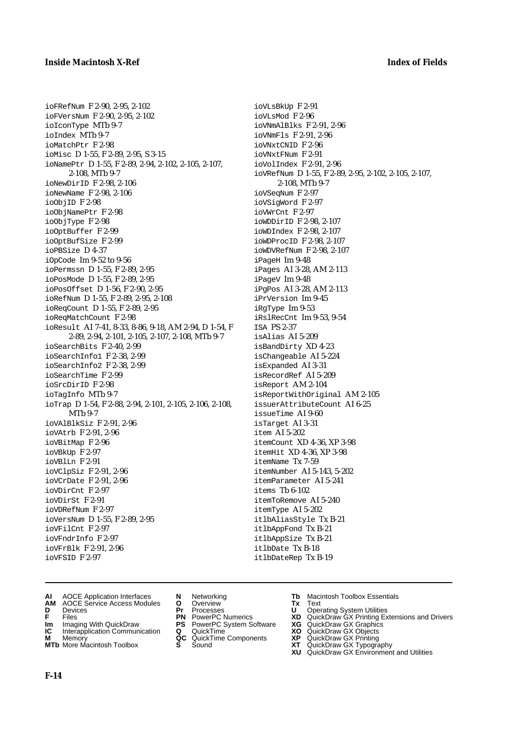ioFRefNum F 2-90, 2-95, 2-102 ioFVersNum F 2-90, 2-95, 2-102 ioIconType MTb 9-7 ioIndex MTb 9-7 ioMatchPtr F 2-98 ioMisc D 1-55, F 2-89, 2-95, S 3-15 ioNamePtr D 1-55, F 2-89, 2-94, 2-102, 2-105, 2-107, 2-108, MTb 9-7 ioNewDirID F 2-98, 2-106 ioNewName F 2-98, 2-106 ioObjID F 2-98 ioObjNamePtr F 2-98 ioObjType F 2-98 ioOptBuffer F 2-99 ioOptBufSize F 2-99 ioPBSize D 4-37 iOpCode Im 9-52 to 9-56 ioPermssn D 1-55, F 2-89, 2-95 ioPosMode D 1-55, F 2-89, 2-95 ioPosOffset D 1-56, F 2-90, 2-95 ioRefNum D 1-55, F 2-89, 2-95, 2-108 ioReqCount D 1-55, F 2-89, 2-95 ioReqMatchCount F 2-98 ioResult AI 7-41, 8-33, 8-86, 9-18, AM 2-94, D 1-54, F 2-89, 2-94, 2-101, 2-105, 2-107, 2-108, MTb 9-7 ioSearchBits F 2-40, 2-99 ioSearchInfo1 F 2-38, 2-99 ioSearchInfo2 F 2-38, 2-99 ioSearchTime F 2-99 ioSrcDirID F 2-98 ioTagInfo MTb 9-7 ioTrap D 1-54, F 2-88, 2-94, 2-101, 2-105, 2-106, 2-108, MTb 9-7 ioVAlBlkSiz F 2-91, 2-96 ioVAtrb F 2-91, 2-96 ioVBitMap F 2-96 ioVBkUp F 2-97 ioVBlLn F 2-91 ioVClpSiz F 2-91, 2-96 ioVCrDate F 2-91, 2-96 ioVDirCnt F 2-97 ioVDirSt F 2-91 ioVDRefNum F 2-97 ioVersNum D 1-55, F 2-89, 2-95 ioVFilCnt F 2-97 ioVFndrInfo F 2-97 ioVFrBlk F 2-91, 2-96 ioVFSID F 2-97

ioVLsBkUp F 2-91  $i$ oVLsMod  $F$  2-96 ioVNmAlBlks F 2-91, 2-96 ioVNmFls F 2-91, 2-96 ioVNxtCNID F 2-96 ioVNxtFNum F 2-91 ioVolIndex F 2-91, 2-96 ioVRefNum D 1-55, F 2-89, 2-95, 2-102, 2-105, 2-107, 2-108, MTb 9-7 ioVSeqNum F 2-97 ioVSigWord F 2-97 ioVWrCnt F 2-97 ioWDDirID F 2-98, 2-107 ioWDIndex F 2-98, 2-107 ioWDProcID F 2-98, 2-107 ioWDVRefNum F 2-98, 2-107 iPageH Im 9-48 iPages AI 3-28, AM 2-113 iPageV Im 9-48 iPgPos AI 3-28, AM 2-113 iPrVersion Im 9-45 iRgType Im 9-53 iRslRecCnt Im 9-53, 9-54 ISA PS 2-37 isAlias AI 5-209 isBandDirty XD 4-23 isChangeable AI 5-224 isExpanded AI 3-31 isRecordRef AI 5-209 isReport AM 2-104 isReportWithOriginal AM 2-105 issuerAttributeCount AI 6-25 issueTime AI 9-60 isTarget AI 3-31 item AI 5-202 itemCount XD 4-36, XP 3-98 itemHit XD 4-36, XP 3-98 itemName Tx 7-59 itemNumber AI 5-143, 5-202 itemParameter AI 5-241 items Tb 6-102 itemToRemove AI 5-240 itemType AI 5-202 itlbAliasStyle Tx B-21 itlbAppFond Tx B-21 itlbAppSize Tx B-21 itlbDate Tx B-18 itlbDateRep Tx B-19

- **AI** AOCE Application Interfaces **N** Networking **Tb** Macintosh Toolbox Essentials<br> **AM** AOCE Service Access Modules **O** Overview **Tx** Text<br> **D** Devices **Pr** Processes **U** Operating System Utilities
- **AM** AOCE Service Access Modules **O** Overview **Tx** Text
- 
- 
- **Im** Imaging With QuickDraw **PS** PowerPC System Software<br> **IC** Interapplication Communication **Q** QuickTime<br> **M** Memorv **GC** QuickTime Components
- **M** Memory **Manual Components QC** QuickTime Components **MTb** More Macintosh Toolbox **S** Sound
- **MTb** More Macintosh Toolbox **S** Sound **XT** QuickDraw GX Typography
- 
- **D** Devices **Pr** Processes **U** Operating System Utilities
	-
	-
	-
	-
- 
- 
- **F** Files **PN** PowerPC Numerics **XD** QuickDraw GX Printing Extensions and Drivers
- **Im** Imaging With QuickDraw **PS** PowerPC System Software **XG** QuickDraw GX Graphics
	-
	-
	-
	- **XU** QuickDraw GX Environment and Utilities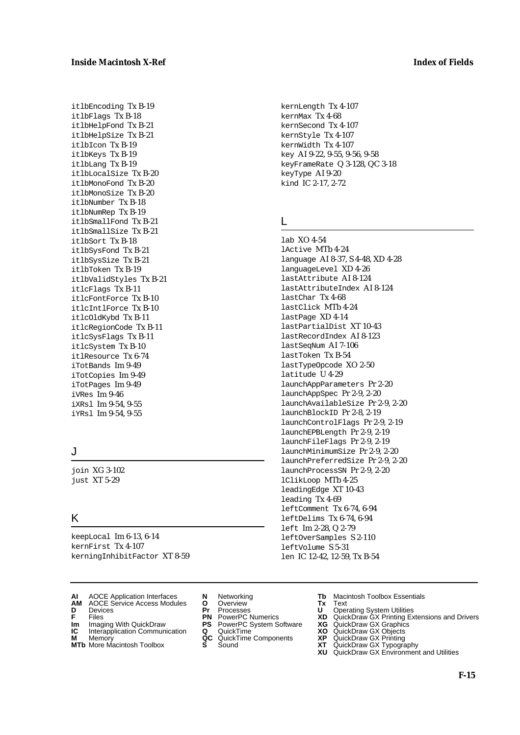itlbEncoding Tx B-19 itlbFlags Tx B-18 itlbHelpFond Tx B-21 itlbHelpSize Tx B-21 itlbIcon Tx B-19 itlbKeys Tx B-19 itlbLang Tx B-19 itlbLocalSize Tx B-20 itlbMonoFond Tx B-20 itlbMonoSize Tx B-20 itlbNumber Tx B-18 itlbNumRep Tx B-19 itlbSmallFond Tx B-21 itlbSmallSize Tx B-21 itlbSort Tx B-18 itlbSysFond Tx B-21 itlbSysSize Tx B-21 itlbToken Tx B-19 itlbValidStyles Tx B-21 itlcFlags Tx B-11 itlcFontForce Tx B-10 itlcIntlForce Tx B-10 itlcOldKybd Tx B-11 itlcRegionCode Tx B-11 itlcSysFlags Tx B-11 itlcSystem Tx B-10 itlResource Tx 6-74 iTotBands Im 9-49 iTotCopies Im 9-49 iTotPages Im 9-49 iVRes Im 9-46 iXRsl Im 9-54, 9-55 iYRsl Im 9-54, 9-55

# J

join XG 3-102 just XT 5-29

# K

keepLocal Im 6-13, 6-14 kernFirst Tx 4-107 kerningInhibitFactor XT 8-59

- 
- **D** Devices **Pr** Processes **U** Operating System Utilities
- 
- **Im** Files<br> **Im** Imaging With QuickDraw **PS** PowerPC System Software **XG**<br> **IC** Interapplication Communication **Q** QuickTime **XO**
- **IC** Interapplication Communication **Q** QuickTime **XO M** Memory **XP QC** QuickTime Components **XP**
- **M** Memory **CONSISTENT COMPONENT MEMORY MEMORY MEMORY AND MEMORY OF A VIDEO MEMORY CONSISTENT CONSISTENT CONSISTENT CONSISTENT CONSISTENT CONSISTENT CONSISTENT CONSISTENT CONSISTENT CONSISTENT CONSISTENT CONSISTENT CONSIST MTb** More Macintosh Toolbox **S** Sound **XT** QuickDraw GX Typography
- **AM** AOCE Service Access Modules **O** Overview **Tx** Text
	-
	-
	-
	-
	-

kernLength Tx 4-107 kernMax Tx 4-68 kernSecond Tx 4-107 kernStyle Tx 4-107 kernWidth Tx 4-107 key AI 9-22, 9-55, 9-56, 9-58 keyFrameRate Q 3-128, QC 3-18 keyType AI 9-20 kind IC 2-17, 2-72

### L

lab XO 4-54 lActive MTb 4-24 language AI 8-37, S 4-48, XD 4-28 languageLevel XD 4-26 lastAttribute AI 8-124 lastAttributeIndex AI 8-124 lastChar Tx 4-68 lastClick MTb 4-24 lastPage XD 4-14 lastPartialDist XT 10-43 lastRecordIndex AI 8-123 lastSeqNum AI 7-106 lastToken Tx B-54 lastTypeOpcode XO 2-50 latitude U 4-29 launchAppParameters Pr 2-20 launchAppSpec Pr 2-9, 2-20 launchAvailableSize Pr 2-9, 2-20 launchBlockID Pr 2-8, 2-19 launchControlFlags Pr 2-9, 2-19 launchEPBLength Pr 2-9, 2-19 launchFileFlags Pr 2-9, 2-19 launchMinimumSize Pr 2-9, 2-20 launchPreferredSize Pr 2-9, 2-20 launchProcessSN Pr 2-9, 2-20 lClikLoop MTb 4-25 leadingEdge XT 10-43 leading Tx 4-69 leftComment Tx 6-74, 6-94 leftDelims Tx 6-74, 6-94 left Im 2-28, Q 2-79 leftOverSamples S 2-110 leftVolume S 5-31 len IC 12-42, 12-59, Tx B-54

- **AI** AOCE Application Interfaces **N** Networking **Tb** Macintosh Toolbox Essentials
	-
- **F** Files **PN** PowerPC Numerics **XD** QuickDraw GX Printing Extensions and Drivers
	-
	-
	-
	-
	- **XU** QuickDraw GX Environment and Utilities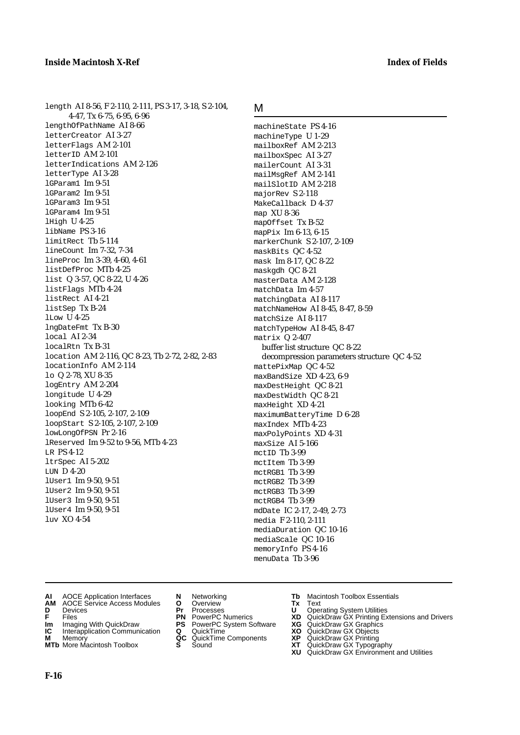length AI 8-56, F 2-110, 2-111, PS 3-17, 3-18, S 2-104, 4-47, Tx 6-75, 6-95, 6-96 lengthOfPathName AI 8-66 letterCreator AI 3-27 letterFlags AM 2-101 letterID AM 2-101 letterIndications AM 2-126 letterType AI 3-28 lGParam1 Im 9-51 lGParam2 Im 9-51 lGParam3 Im 9-51 lGParam4 Im 9-51 lHigh U 4-25 libName PS 3-16 limitRect Tb 5-114 lineCount Im 7-32, 7-34 lineProc Im 3-39, 4-60, 4-61 listDefProc MTb 4-25 list Q 3-57, QC 8-22, U 4-26 listFlags MTb 4-24 listRect AI 4-21 listSep Tx B-24 lLow U 4-25 lngDateFmt Tx B-30 local AI 2-34 localRtn Tx B-31 location AM 2-116, QC 8-23, Tb 2-72, 2-82, 2-83 locationInfo AM 2-114 lo Q 2-78, XU 8-35 logEntry AM 2-204 longitude U 4-29 looking MTb 6-42 loopEnd S 2-105, 2-107, 2-109 loopStart S 2-105, 2-107, 2-109 lowLongOfPSN Pr 2-16 lReserved Im 9-52 to 9-56, MTb 4-23 LR PS 4-12 ltrSpec AI 5-202 LUN D 4-20 lUser1 Im 9-50, 9-51 lUser2 Im 9-50, 9-51 lUser3 Im 9-50, 9-51 lUser4 Im 9-50, 9-51

### M

machineState PS 4-16 machineType U 1-29 mailboxRef AM 2-213 mailboxSpec AI 3-27 mailerCount AI 3-31 mailMsgRef AM 2-141 mailSlotID AM 2-218 majorRev S 2-118 MakeCallback D 4-37 map XU 8-36 mapOffset Tx B-52 mapPix Im 6-13, 6-15 markerChunk S 2-107, 2-109 maskBits QC 4-52 mask Im 8-17, QC 8-22 maskgdh QC 8-21 masterData AM 2-128 matchData Im 4-57 matchingData AI 8-117 matchNameHow AI 8-45, 8-47, 8-59 matchSize AI 8-117 matchTypeHow AI 8-45, 8-47 matrix Q 2-407 buffer list structure QC 8-22 decompression parameters structure QC 4-52 mattePixMap QC 4-52 maxBandSize XD 4-23, 6-9 maxDestHeight QC 8-21 maxDestWidth QC 8-21 maxHeight XD 4-21 maximumBatteryTime D 6-28 maxIndex MTb 4-23 maxPolyPoints XD 4-31 maxSize AI 5-166 mctID Tb 3-99 mctItem Tb 3-99 mctRGB1 Tb 3-99 mctRGB2 Tb 3-99 mctRGB3 Tb 3-99 mctRGB4 Tb 3-99 mdDate IC 2-17, 2-49, 2-73 media F 2-110, 2-111 mediaDuration QC 10-16 mediaScale QC 10-16 memoryInfo PS 4-16 menuData Tb 3-96

**AI** AOCE Application Interfaces **N** Networking **Tb** Macintosh Toolbox Essentials<br> **AM** AOCE Service Access Modules **O** Overview **Tx** Text<br> **D** Devices **Pr** Processes **U** Operating System Utilities

- **AOCE Service Access Modules <b>O** Overview **Tx** Text<br> **Devices Devices D** Oper
- 

luv XO 4-54

- 
- **Im** Imaging With QuickDraw **PS** PowerPC System Software **XG** QuickDraw GX Graphics
- **Im** Imaging With QuickDraw **PS** PowerPC System Software<br> **IC** Interapplication Communication **Q** QuickTime<br> **M** Memory **GC** QuickTime Components
- **M** Memory **COMPONENTS COMPONENTS COMPONENTS NEWSLA**<br> **M** More Macintosh Toolbox **S** Sound
- 
- 
- 
- 
- -
- 
- **D** Devices **Pr** Processes **U** Operating System Utilities
- **F** Files **PN** PowerPC Numerics **XD** QuickDraw GX Printing Extensions and Drivers
	-
	-
	-
- **MTb** More Macintosh Toolbox **S** Sound **XT** QuickDraw GX Typography
	- **XU** QuickDraw GX Environment and Utilities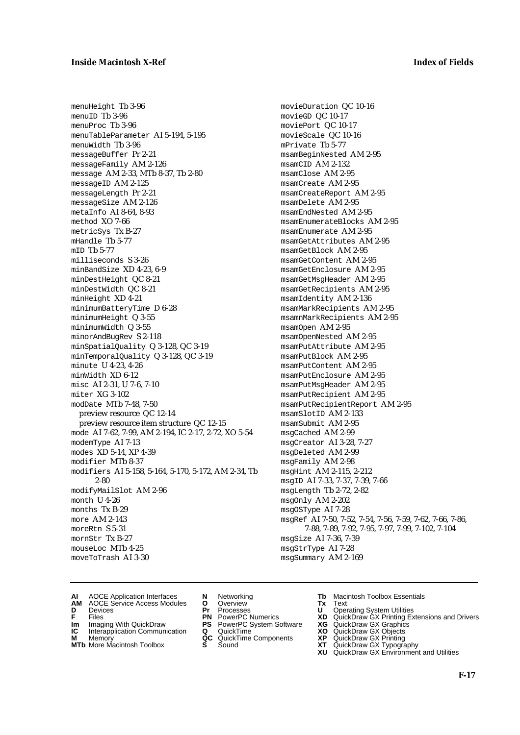menuHeight Tb 3-96  $men$  $ID$  Th  $3-96$ menuProc Tb 3-96 menuTableParameter AI 5-194, 5-195 menuWidth Tb 3-96 messageBuffer Pr 2-21 messageFamily AM 2-126 message AM 2-33, MTb 8-37, Tb 2-80 messageID AM 2-125 messageLength Pr 2-21 messageSize AM 2-126 metaInfo AI 8-64, 8-93 method XO 7-66 metricSys Tx B-27 mHandle Tb 5-77 mID Tb 5-77 milliseconds S 3-26 minBandSize XD 4-23, 6-9 minDestHeight QC 8-21 minDestWidth QC 8-21 minHeight XD 4-21 minimumBatteryTime D 6-28 minimumHeight Q 3-55 minimumWidth Q 3-55 minorAndBugRev S 2-118 minSpatialQuality Q 3-128, QC 3-19 minTemporalQuality Q 3-128, QC 3-19 minute U 4-23, 4-26 minWidth XD 6-12 misc AI 2-31, U 7-6, 7-10 miter XG 3-102 modDate MTb 7-48, 7-50 preview resource QC 12-14 preview resource item structure QC 12-15 mode AI 7-62, 7-99, AM 2-194, IC 2-17, 2-72, XO 5-54 modemType AI 7-13 modes XD 5-14, XP 4-39 modifier MTb 8-37 modifiers AI 5-158, 5-164, 5-170, 5-172, AM 2-34, Tb 2-80 modifyMailSlot AM 2-96 month U 4-26 months Tx B-29 more AM 2-143 moreRtn S 5-31 mornStr Tx B-27 mouseLoc MTb 4-25 moveToTrash AI 3-30

movieDuration QC 10-16 movieGD QC 10-17 moviePort QC 10-17 movieScale QC 10-16 mPrivate Tb 5-77 msamBeginNested AM 2-95 msamCID AM 2-132 msamClose AM 2-95 msamCreate AM 2-95 msamCreateReport AM 2-95 msamDelete AM 2-95 msamEndNested AM 2-95 msamEnumerateBlocks AM 2-95 msamEnumerate AM 2-95 msamGetAttributes AM 2-95 msamGetBlock AM 2-95 msamGetContent AM 2-95 msamGetEnclosure AM 2-95 msamGetMsgHeader AM 2-95 msamGetRecipients AM 2-95 msamIdentity AM 2-136 msamMarkRecipients AM 2-95 msamnMarkRecipients AM 2-95 msamOpen AM 2-95 msamOpenNested AM 2-95 msamPutAttribute AM 2-95 msamPutBlock AM 2-95 msamPutContent AM 2-95 msamPutEnclosure AM 2-95 msamPutMsgHeader AM 2-95 msamPutRecipient AM 2-95 msamPutRecipientReport AM 2-95 msamSlotID AM 2-133 msamSubmit AM 2-95 msgCached AM 2-99 msgCreator AI 3-28, 7-27 msgDeleted AM 2-99 msgFamily AM 2-98 msgHint AM 2-115, 2-212 msgID AI 7-33, 7-37, 7-39, 7-66 msgLength Tb 2-72, 2-82 msgOnly AM 2-202 msgOSType AI 7-28 msgRef AI 7-50, 7-52, 7-54, 7-56, 7-59, 7-62, 7-66, 7-86, 7-88, 7-89, 7-92, 7-95, 7-97, 7-99, 7-102, 7-104 msgSize AI 7-36, 7-39 msgStrType AI 7-28 msgSummary AM 2-169

- **AI** AOCE Application Interfaces **N** Networking **Tb** Macintosh Toolbox Essentials
- **AM** AOCE Service Access Modules **O** Overview **Tx** Text
- 
- 
- **Im** Files<br> **Im** Imaging With QuickDraw **PS** PowerPC System Software **XG**<br> **IC** Interapplication Communication **Q** QuickTime **XO IC** Interapplication Communication **Q** QuickTime **XO M** Memory **XP QC** QuickTime Components **XP**
- **M** Memory **Manufacture Communication**<br> **M** Memory **QC** QuickTime Components **XP**<br> **MTb** More Macintosh Toolbox **S** Sound **XT**
- **MTb** More Macintosh Toolbox **S** Sound **XT** QuickDraw GX Typography
- 
- **D** Devices **Pr** Processes **U** Operating System Utilities
	-
	-
	-
	-
- 
- 
- **F** Files **PN** PowerPC Numerics **XD** QuickDraw GX Printing Extensions and Drivers
	-
	-
	-
	-
	- **XU** QuickDraw GX Environment and Utilities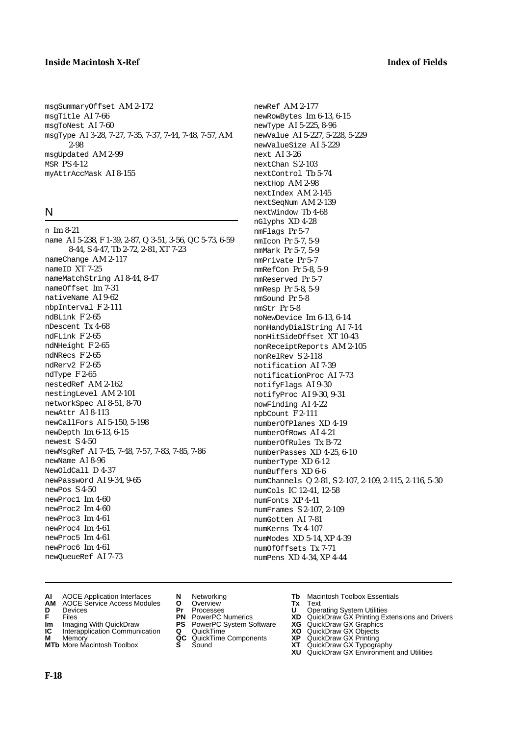### **Inside Macintosh X-Ref Index of Fields**

msgSummaryOffset AM 2-172 msgTitle AI 7-66 msgToNest AI 7-60 msgType AI 3-28, 7-27, 7-35, 7-37, 7-44, 7-48, 7-57, AM 2-98 msgUpdated AM 2-99 **MSR PS 4-12** myAttrAccMask AI 8-155

### N

n Im 8-21 name AI 5-238, F 1-39, 2-87, Q 3-51, 3-56, QC 5-73, 6-59 8-44, S 4-47, Tb 2-72, 2-81, XT 7-23 nameChange AM 2-117 nameID XT 7-25 nameMatchString AI 8-44, 8-47 nameOffset Im 7-31 nativeName AI 9-62 nbpInterval F 2-111 ndBLink F 2-65 nDescent Tx 4-68 ndFLink F 2-65 ndNHeight F 2-65 ndNRecs F 2-65 ndRerv2 F 2-65 ndType F 2-65 nestedRef AM 2-162 nestingLevel AM 2-101 networkSpec AI 8-51, 8-70 newAttr AI 8-113 newCallFors AI 5-150, 5-198 newDepth Im 6-13, 6-15 newest S 4-50 newMsgRef AI 7-45, 7-48, 7-57, 7-83, 7-85, 7-86 newName AI 8-96 NewOldCall D 4-37 newPassword AI 9-34, 9-65 newPos S 4-50 newProc1 Im 4-60 newProc2 Im 4-60 newProc3 Im 4-61 newProc4 Im 4-61 newProc5 Im 4-61 newProc6 Im 4-61 newQueueRef AI 7-73

- newRef AM 2-177 newRowBytes Im 6-13, 6-15 newType AI 5-225, 8-96 newValue AI 5-227, 5-228, 5-229 newValueSize AI 5-229 next AI 3-26 nextChan S 2-103 nextControl Tb 5-74 nextHop AM 2-98 nextIndex AM 2-145 nextSeqNum AM 2-139 nextWindow Tb 4-68 nGlyphs XD 4-28 nmFlags Pr 5-7 nmIcon Pr 5-7, 5-9 nmMark Pr 5-7, 5-9 nmPrivate Pr 5-7 nmRefCon Pr 5-8, 5-9 nmReserved Pr 5-7 nmResp Pr 5-8, 5-9 nmSound Pr 5-8 nmStr Pr 5-8 noNewDevice Im 6-13, 6-14 nonHandyDialString AI 7-14 nonHitSideOffset XT 10-43 nonReceiptReports AM 2-105 nonRelRev S 2-118 notification AI 7-39 notificationProc AI 7-73 notifyFlags AI 9-30 notifyProc AI 9-30, 9-31 nowFinding AI 4-22 npbCount F 2-111 numberOfPlanes XD 4-19 numberOfRows AI 4-21 numberOfRules Tx B-72 numberPasses XD 4-25, 6-10 numberType XD 6-12 numBuffers XD 6-6 numChannels Q 2-81, S 2-107, 2-109, 2-115, 2-116, 5-30 numCols IC 12-41, 12-58 numFonts XP 4-41 numFrames S 2-107, 2-109 numGotten AI 7-81 numKerns Tx 4-107 numModes XD 5-14, XP 4-39 numOfOffsets Tx 7-71
- numPens XD 4-34, XP 4-44

- 
- 
- **AM** AOCE Service Access Modules **O** Overview **Tx** Text **D** Devices **Pr** Processes **U** Operating System Utilities
- 
- **Im** Imaging With QuickDraw **PS** PowerPC System Software **XG** QuickDraw GX Graphics **Im** Imaging With QuickDraw **PS** PowerPC System Software<br> **IC** Interapplication Communication **Q** QuickTime<br> **M** Memorv **GC** QuickTime Components
- 
- **M** Memory **Manufacturing Manufacturing Manufacturing Manufacturing Manufacturing Components<br><b>MTb** More Macintosh Toolbox **S** Sound **MTb** More Macintosh Toolbox **S** Sound **XT** QuickDraw GX Typography
- 
- 
- 
- 
- -
- **AI** AOCE Application Interfaces **N** Networking **Tb** Macintosh Toolbox Essentials<br> **AM** AOCE Service Access Modules **O** Overview **Tx** Text<br> **D** Devices **Pr** Processes **U** Operating System Utilities
	-
- **F** Files **PN** PowerPC Numerics **XD** QuickDraw GX Printing Extensions and Drivers
	-
	-
	-
	-
	- **XU** QuickDraw GX Environment and Utilities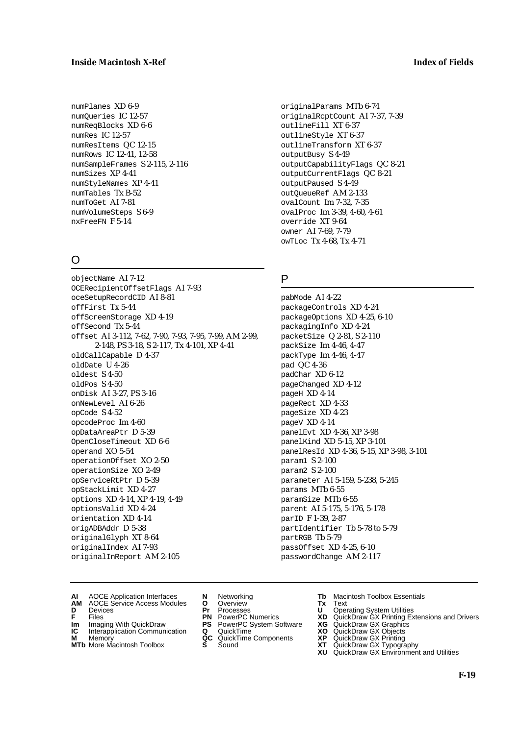### **Inside Macintosh X-Ref Index of Fields**

numPlanes XD 6-9 numQueries IC 12-57 numReqBlocks XD 6-6 numRes IC 12-57 numResItems QC 12-15 numRows IC 12-41, 12-58 numSampleFrames S 2-115, 2-116 numSizes XP 4-41 numStyleNames XP 4-41 numTables Tx B-52 numToGet AI 7-81 numVolumeSteps S 6-9 nxFreeFN F 5-14

# O

objectName AI 7-12 OCERecipientOffsetFlags AI 7-93 oceSetupRecordCID AI 8-81 offFirst Tx 5-44 offScreenStorage XD 4-19 offSecond Tx 5-44 offset AI 3-112, 7-62, 7-90, 7-93, 7-95, 7-99, AM 2-99, 2-148, PS 3-18, S 2-117, Tx 4-101, XP 4-41 oldCallCapable D 4-37 oldDate U 4-26 oldest S 4-50 oldPos S 4-50 onDisk AI 3-27, PS 3-16 onNewLevel AI 6-26 opCode S 4-52 opcodeProc Im 4-60 opDataAreaPtr D 5-39 OpenCloseTimeout XD 6-6 operand XO 5-54 operationOffset XO 2-50 operationSize XO 2-49 opServiceRtPtr D 5-39 opStackLimit XD 4-27 options XD 4-14, XP 4-19, 4-49 optionsValid XD 4-24 orientation XD 4-14 origADBAddr D 5-38 originalGlyph XT 8-64 originalIndex AI 7-93 originalInReport AM 2-105

originalParams MTb 6-74 originalRcptCount AI 7-37, 7-39 outlineFill XT 6-37 outlineStyle XT 6-37 outlineTransform XT 6-37 outputBusy S 4-49 outputCapabilityFlags QC 8-21 outputCurrentFlags QC 8-21 outputPaused S 4-49 outQueueRef AM 2-133 ovalCount Im 7-32, 7-35 ovalProc Im 3-39, 4-60, 4-61 override XT 9-64 owner AI 7-69, 7-79 owTLoc Tx 4-68, Tx 4-71

### P

pabMode AI 4-22 packageControls XD 4-24 packageOptions XD 4-25, 6-10 packagingInfo XD 4-24 packetSize Q 2-81, S 2-110 packSize Im 4-46, 4-47 packType Im 4-46, 4-47 pad QC 4-36 padChar XD 6-12 pageChanged XD 4-12 pageH XD 4-14 pageRect XD 4-33 pageSize XD 4-23 pageV XD 4-14 panelEvt XD 4-36, XP 3-98 panelKind XD 5-15, XP 3-101 panelResId XD 4-36, 5-15, XP 3-98, 3-101 param1 S 2-100 param2 S 2-100 parameter AI 5-159, 5-238, 5-245 params MTb 6-55 paramSize MTb 6-55 parent AI 5-175, 5-176, 5-178 parID F 1-39, 2-87 partIdentifier Tb 5-78 to 5-79 partRGB Tb 5-79 passOffset XD 4-25, 6-10 passwordChange AM 2-117

- **AI** AOCE Application Interfaces **N** Networking **Tb** Macintosh Toolbox Essentials
- **AM** AOCE Service Access Modules **O** Overview **Tx** Text **D** Devices **Pr** Processes **U** Operating System Utilities
- 
- 
- **Im** Files<br> **Im** Imaging With QuickDraw **PS** PowerPC System Software **XG**<br> **IC** Interapplication Communication **Q** QuickTime **XO IC** Interapplication Communication **Q** QuickTime **XO M** Memory **XP QC** QuickTime Components **XP**
- **M** Memory **Manufacture Communication**<br> **M** Memory **QC** QuickTime Components **XP**<br> **MTb** More Macintosh Toolbox **S** Sound **XT**
- **MTb** More Macintosh Toolbox **S** Sound **XT** QuickDraw GX Typography
- 
- 
- 
- 
- 
- 
- 
- 
- **F** Files **PN** PowerPC Numerics **XD** QuickDraw GX Printing Extensions and Drivers
	-
	-
	-
	- **XU** QuickDraw GX Environment and Utilities
		- **F-19**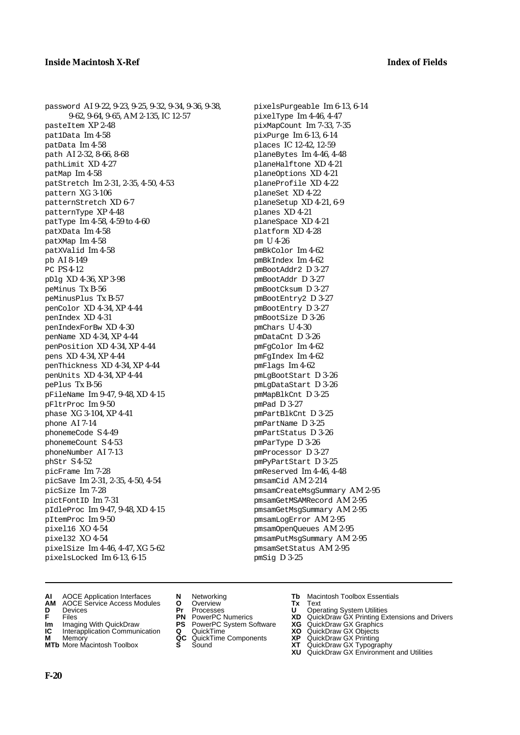password AI 9-22, 9-23, 9-25, 9-32, 9-34, 9-36, 9-38, 9-62, 9-64, 9-65, AM 2-135, IC 12-57 pasteItem XP 2-48 pat1Data Im 4-58 patData Im 4-58 path AI 2-32, 8-66, 8-68 pathLimit XD 4-27 patMap Im 4-58 patStretch Im 2-31, 2-35, 4-50, 4-53 pattern XG 3-106 patternStretch XD 6-7 patternType XP 4-48 patType Im 4-58, 4-59 to 4-60 patXData Im 4-58 patXMap Im 4-58 patXValid Im 4-58 pb AI 8-149 PC PS 4-12 pDlg XD 4-36, XP 3-98 peMinus Tx B-56 peMinusPlus Tx B-57 penColor XD 4-34, XP 4-44 penIndex XD 4-31 penIndexForBw XD 4-30 penName XD 4-34, XP 4-44 penPosition XD 4-34, XP 4-44 pens XD 4-34, XP 4-44 penThickness XD 4-34, XP 4-44 penUnits XD 4-34, XP 4-44 pePlus Tx B-56 pFileName Im 9-47, 9-48, XD 4-15 pFltrProc Im 9-50 phase XG 3-104, XP 4-41 phone AI 7-14 phonemeCode S 4-49 phonemeCount S 4-53 phoneNumber AI 7-13 phStr S 4-52 picFrame Im 7-28 picSave Im 2-31, 2-35, 4-50, 4-54 picSize Im 7-28 pictFontID Im 7-31 pIdleProc Im 9-47, 9-48, XD 4-15 pItemProc Im 9-50 pixel16 XO 4-54 pixel32 XO 4-54 pixelSize Im 4-46, 4-47, XG 5-62 pixelsLocked Im 6-13, 6-15

pixelsPurgeable Im 6-13, 6-14 pixelType Im 4-46, 4-47 pixMapCount Im 7-33, 7-35 pixPurge Im 6-13, 6-14 places IC 12-42, 12-59 planeBytes Im 4-46, 4-48 planeHalftone XD 4-21 planeOptions XD 4-21 planeProfile XD 4-22 planeSet XD 4-22 planeSetup XD 4-21, 6-9 planes XD 4-21 planeSpace XD 4-21 platform XD 4-28 pm U 4-26 pmBkColor Im 4-62 pmBkIndex Im 4-62 pmBootAddr2 D 3-27 pmBootAddr D 3-27 pmBootCksum D 3-27 pmBootEntry2 D 3-27 pmBootEntry D 3-27 pmBootSize D 3-26 pmChars U 4-30 pmDataCnt D 3-26 pmFgColor Im 4-62 pmFgIndex Im 4-62 pmFlags Im 4-62 pmLgBootStart D 3-26 pmLgDataStart D 3-26 pmMapBlkCnt D 3-25 pmPad D 3-27 pmPartBlkCnt D 3-25 pmPartName D 3-25 pmPartStatus D 3-26 pmParType D 3-26 pmProcessor D 3-27 pmPyPartStart D 3-25 pmReserved Im 4-46, 4-48 pmsamCid AM 2-214 pmsamCreateMsgSummary AM 2-95 pmsamGetMSAMRecord AM 2-95 pmsamGetMsgSummary AM 2-95 pmsamLogError AM 2-95 pmsamOpenQueues AM 2-95 pmsamPutMsgSummary AM 2-95 pmsamSetStatus AM 2-95 pmSig D 3-25

- **AI** AOCE Application Interfaces **N** Networking **Tb** Macintosh Toolbox Essentials
- **AM** AOCE Service Access Modules **O** Overview **Tx** Text
- 
- 
- **Im** Imaging With QuickDraw **PS** PowerPC System Software<br> **IC** Interapplication Communication **Q** QuickTime<br> **M** Memorv **GC** QuickTime Components
- 
- **M** Memory **QC** QuickTime Components<br>**MTb** More Macintosh Toolbox **S** Sound **MTb** More Macintosh Toolbox **S** Sound **XT** QuickDraw GX Typography
- 
- **D** Devices **Pr** Processes **U** Operating System Utilities
	-
	-
	-
	-
- 
- 
- **F** Files **PN** PowerPC Numerics **XD** QuickDraw GX Printing Extensions and Drivers
- **Im** Imaging With QuickDraw **PS** PowerPC System Software **XG** QuickDraw GX Graphics
	-
	-
	-
	- **XU** QuickDraw GX Environment and Utilities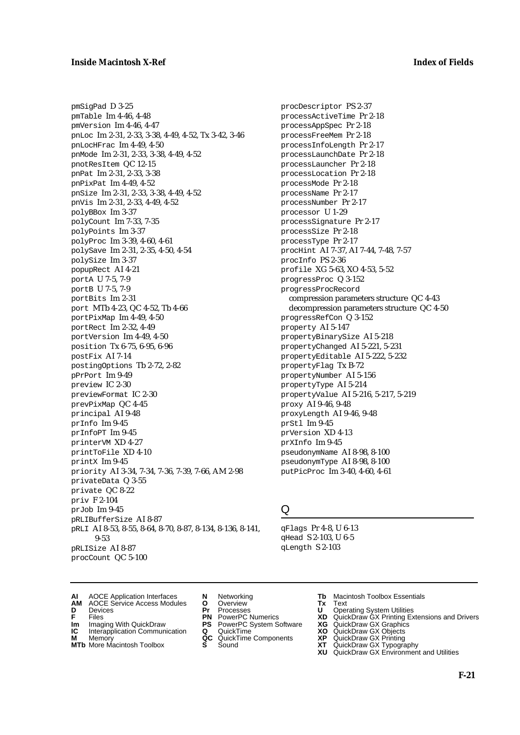pmSigPad D 3-25 pmTable Im 4-46, 4-48 pmVersion Im 4-46, 4-47 pnLoc Im 2-31, 2-33, 3-38, 4-49, 4-52, Tx 3-42, 3-46 pnLocHFrac Im 4-49, 4-50 pnMode Im 2-31, 2-33, 3-38, 4-49, 4-52 pnotResItem QC 12-15 pnPat Im 2-31, 2-33, 3-38 pnPixPat Im 4-49, 4-52 pnSize Im 2-31, 2-33, 3-38, 4-49, 4-52 pnVis Im 2-31, 2-33, 4-49, 4-52 polyBBox Im 3-37 polyCount Im 7-33, 7-35 polyPoints Im 3-37 polyProc Im 3-39, 4-60, 4-61 polySave Im 2-31, 2-35, 4-50, 4-54 polySize Im 3-37 popupRect AI 4-21 portA U 7-5, 7-9 portB U 7-5, 7-9 portBits Im 2-31 port MTb 4-23, QC 4-52, Tb 4-66 portPixMap Im 4-49, 4-50 portRect Im 2-32, 4-49 portVersion Im 4-49, 4-50 position Tx 6-75, 6-95, 6-96 postFix AI 7-14 postingOptions Tb 2-72, 2-82 pPrPort Im 9-49 preview IC 2-30 previewFormat IC 2-30 prevPixMap QC 4-45 principal AI 9-48 prInfo Im 9-45 prInfoPT Im 9-45 printerVM XD 4-27 printToFile XD 4-10 printX Im 9-45 priority AI 3-34, 7-34, 7-36, 7-39, 7-66, AM 2-98 privateData Q 3-55 private QC 8-22 priv F 2-104 prJob Im 9-45 pRLIBufferSize AI 8-87 pRLI AI 8-53, 8-55, 8-64, 8-70, 8-87, 8-134, 8-136, 8-141, 9-53 pRLISize AI 8-87 procCount QC 5-100

procDescriptor PS 2-37 processActiveTime Pr 2-18 processAppSpec Pr 2-18 processFreeMem Pr 2-18 processInfoLength Pr 2-17 processLaunchDate Pr 2-18 processLauncher Pr 2-18 processLocation Pr 2-18 processMode Pr 2-18 processName Pr 2-17 processNumber Pr 2-17 processor U 1-29 processSignature Pr 2-17 processSize Pr 2-18 processType Pr 2-17 procHint AI 7-37, AI 7-44, 7-48, 7-57 procInfo PS 2-36 profile XG 5-63, XO 4-53, 5-52 progressProc Q 3-152 progressProcRecord compression parameters structure QC 4-43 decompression parameters structure QC 4-50 progressRefCon Q 3-152 property AI 5-147 propertyBinarySize AI 5-218 propertyChanged AI 5-221, 5-231 propertyEditable AI 5-222, 5-232 propertyFlag Tx B-72 propertyNumber AI 5-156 propertyType AI 5-214 propertyValue AI 5-216, 5-217, 5-219 proxy AI 9-46, 9-48 proxyLength AI 9-46, 9-48 prStl Im 9-45 prVersion XD 4-13 prXInfo Im 9-45 pseudonymName AI 8-98, 8-100 pseudonymType AI 8-98, 8-100 putPicProc Im 3-40, 4-60, 4-61

# Q

qFlags Pr 4-8, U 6-13 qHead S 2-103, U 6-5 qLength S 2-103

- **AI** AOCE Application Interfaces **N** Networking **Tb** Macintosh Toolbox Essentials<br> **AM** AOCE Service Access Modules **O** Overview **Tx** Text<br> **D** Devices **Pr** Processes **U** Operating System Utilities
- AOCE Service Access Modules **O** Overview **Tx** Text<br>Devices **Devices Devices Devices**
- 
- **Im** Files<br> **Im** Imaging With QuickDraw **PS** PowerPC System Software **XG**<br> **IC** Interapplication Communication **Q** QuickTime **XO**
- **IC** Interapplication Communication **Q** QuickTime **XO M** Memory **XP QC** QuickTime Components **XP**
- 
- 
- 
- **M** Memory **CC** QuickTime Components **XP**<br> **MTb** More Macintosh Toolbox **S** Sound **XT**
- 
- **D** Devices **Pr** Processes **U** Operating System Utilities
	-
	-
	-
	-
- 
- 
- **F** Files **PN** PowerPC Numerics **XD** QuickDraw GX Printing Extensions and Drivers
	-
	-
	-
- **MTb** More Macintosh Toolbox **S** Sound **XT** QuickDraw GX Typography
	- **XU** QuickDraw GX Environment and Utilities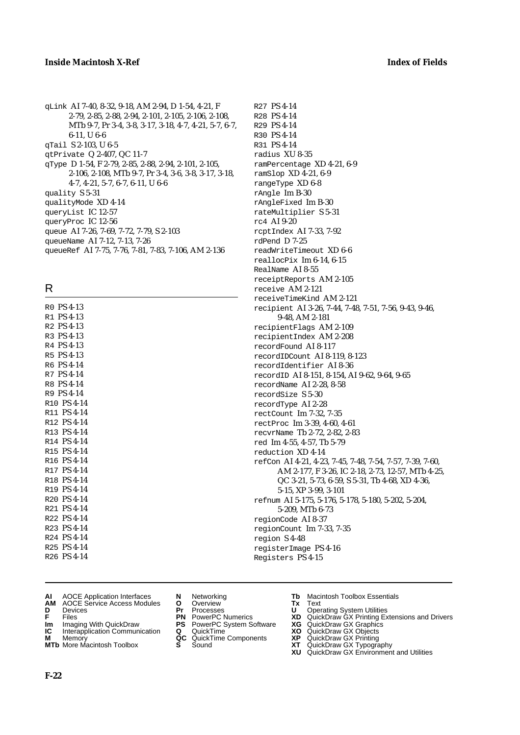$\frac{1}{2}$   $\frac{1}{2}$   $\frac{1}{2}$   $\frac{1}{2}$   $\frac{1}{2}$   $\frac{1}{2}$   $\frac{1}{2}$   $\frac{1}{2}$   $\frac{1}{2}$   $\frac{1}{2}$   $\frac{1}{2}$   $\frac{1}{2}$   $\frac{1}{2}$   $\frac{1}{2}$   $\frac{1}{2}$   $\frac{1}{2}$   $\frac{1}{2}$   $\frac{1}{2}$   $\frac{1}{2}$   $\frac{1}{2}$   $\frac{1}{2}$   $\frac{1}{2}$ 

R

| RO PS 4-13                                    |                         |
|-----------------------------------------------|-------------------------|
| R1 PS 4-13                                    |                         |
| R <sub>2</sub> P <sub>S</sub> 4-13            |                         |
| R <sub>3</sub> P <sub>S</sub> <sub>4-13</sub> |                         |
| R <sub>4</sub> P <sub>S</sub> <sub>4-13</sub> |                         |
| R <sub>5</sub> P <sub>S</sub> 4-13            |                         |
| R6 PS 4-14                                    |                         |
| R7 PS 4-14                                    |                         |
| R8 PS 4-14                                    |                         |
| R9 PS 4-14                                    |                         |
|                                               | R <sub>10</sub> PS 4-14 |
|                                               | R11 PS 4-14             |
|                                               | R <sub>12</sub> PS 4-14 |
|                                               | R13 PS 4-14             |
|                                               | R14 PS 4-14             |
|                                               | R15 PS 4-14             |
|                                               | R16 PS 4-14             |
|                                               | R <sub>17</sub> PS 4-14 |
|                                               | R <sub>18</sub> PS 4-14 |
|                                               | R19 PS 4-14             |
|                                               | R <sub>20</sub> PS 4-14 |
|                                               | R21 PS 4-14             |
|                                               | R22 PS 4-14             |
|                                               | R23 PS 4-14             |
|                                               | R24 PS 4-14             |
|                                               | R25 PS 4-14             |
|                                               | R <sub>26</sub> PS 4-14 |
|                                               |                         |

R27 PS 4-14 R28 PS 4-14 R29 PS 4-14 R30 PS 4-14 R31 PS 4-14 radius XU 8-35 ramPercentage XD 4-21, 6-9 ramSlop XD 4-21, 6-9 rangeType XD 6-8 rAngle Im B-30 rAngleFixed Im B-30 rateMultiplier S 5-31 rc4 AI 9-20 rcptIndex AI 7-33, 7-92 rdPend D 7-25 readWriteTimeout XD 6-6 reallocPix Im 6-14, 6-15 RealName AI 8-55 receiptReports AM 2-105 receive AM 2-121 receiveTimeKind AM 2-121 recipient AI 3-26, 7-44, 7-48, 7-51, 7-56, 9-43, 9-46, 9-48, AM 2-181 recipientFlags AM 2-109 recipientIndex AM 2-208 recordFound AI 8-117 recordIDCount AI 8-119, 8-123 recordIdentifier AI 8-36 recordID AI 8-151, 8-154, AI 9-62, 9-64, 9-65 recordName AI 2-28, 8-58 recordSize S 5-30 recordType AI 2-28 rectCount Im 7-32, 7-35 rectProc Im 3-39, 4-60, 4-61 recvrName Tb 2-72, 2-82, 2-83 red Im 4-55, 4-57, Tb 5-79 reduction XD 4-14 refCon AI 4-21, 4-23, 7-45, 7-48, 7-54, 7-57, 7-39, 7-60, AM 2-177, F 3-26, IC 2-18, 2-73, 12-57, MTb 4-25, QC 3-21, 5-73, 6-59, S 5-31, Tb 4-68, XD 4-36, 5-15, XP 3-99, 3-101 refnum AI 5-175, 5-176, 5-178, 5-180, 5-202, 5-204, 5-209, MTb 6-73 regionCode AI 8-37 regionCount Im 7-33, 7-35 region S 4-48 registerImage PS 4-16

Registers PS 4-15

- 
- AM ANCE Service Access Modules **O** Overview **Tx** Text<br>Devices **Pr** Processes **U** Oper
- **D** Devices **Pr** Processes **U** Operating System Utilities
- 
- **Im** Imaging With QuickDraw **PS** PowerPC System Software **XG** QuickDraw GX Graphics
- **Im** Imaging With QuickDraw **PS** PowerPC System Software<br> **IC** Interapplication Communication **Q** QuickTime<br> **M** Memory **GC** QuickTime Components
- 
- **M** Memory **COMPONENTS COMPONENTS COMPONENTS COMPONENTS <b>XP** QC QuickT<br> **MTb** More Macintosh Toolbox **S** Sound
- 
- 
- 
- 
- -
- **AI** AOCE Application Interfaces **N** Networking **Tb** Macintosh Toolbox Essentials<br> **AM** AOCE Service Access Modules **O** Overview **Tx** Text<br> **D** Devices **Pr** Processes **U** Operating System Utilities
	-
- **F** Files **PN** PowerPC Numerics **XD** QuickDraw GX Printing Extensions and Drivers
	-
	-
	-
- **MTb** More Macintosh Toolbox **S** Sound **XT** QuickDraw GX Typography
	- **XU** QuickDraw GX Environment and Utilities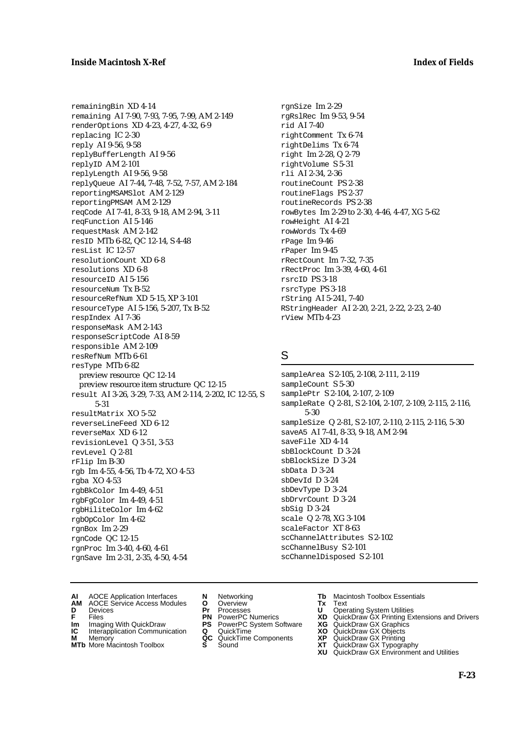remainingBin XD 4-14 remaining AI 7-90, 7-93, 7-95, 7-99, AM 2-149 renderOptions XD 4-23, 4-27, 4-32, 6-9 replacing IC 2-30 reply AI 9-56, 9-58 replyBufferLength AI 9-56 replyID AM 2-101 replyLength AI 9-56, 9-58 replyQueue AI 7-44, 7-48, 7-52, 7-57, AM 2-184 reportingMSAMSlot AM 2-129 reportingPMSAM AM 2-129 reqCode AI 7-41, 8-33, 9-18, AM 2-94, 3-11 reqFunction AI 5-146 requestMask AM 2-142 resID MTb 6-82, QC 12-14, S 4-48 resList IC 12-57 resolutionCount XD 6-8 resolutions XD 6-8 resourceID AI 5-156 resourceNum Tx B-52 resourceRefNum XD 5-15, XP 3-101 resourceType AI 5-156, 5-207, Tx B-52 respIndex AI 7-36 responseMask AM 2-143 responseScriptCode AI 8-59 responsible AM 2-109 resRefNum MTb 6-61 resType MTb 6-82 preview resource QC 12-14 preview resource item structure QC 12-15 result AI 3-26, 3-29, 7-33, AM 2-114, 2-202, IC 12-55, S 5-31 resultMatrix XO 5-52 reverseLineFeed XD 6-12 reverseMax XD 6-12 revisionLevel Q 3-51, 3-53 revLevel Q 2-81 rFlip Im B-30 rgb Im 4-55, 4-56, Tb 4-72, XO 4-53 rgba XO 4-53 rgbBkColor Im 4-49, 4-51 rgbFgColor Im 4-49, 4-51 rgbHiliteColor Im 4-62 rgbOpColor Im 4-62 rgnBox Im 2-29 rgnCode QC 12-15 rgnProc Im 3-40, 4-60, 4-61 rgnSave Im 2-31, 2-35, 4-50, 4-54

rgnSize Im 2-29 rgRslRec Im 9-53, 9-54 rid AI 7-40 rightComment Tx 6-74 rightDelims Tx 6-74 right Im 2-28, Q 2-79 rightVolume S 5-31 rli AI 2-34, 2-36 routineCount PS 2-38 routineFlags PS 2-37 routineRecords PS 2-38 rowBytes Im 2-29 to 2-30, 4-46, 4-47, XG 5-62 rowHeight AI 4-21 rowWords Tx 4-69 rPage Im 9-46 rPaper Im 9-45 rRectCount Im 7-32, 7-35 rRectProc Im 3-39, 4-60, 4-61 rsrcID PS 3-18 rsrcType PS 3-18 rString AI 5-241, 7-40 RStringHeader AI 2-20, 2-21, 2-22, 2-23, 2-40 rView MTb 4-23

### S

sampleArea S 2-105, 2-108, 2-111, 2-119 sampleCount S 5-30 samplePtr S 2-104, 2-107, 2-109 sampleRate Q 2-81, S 2-104, 2-107, 2-109, 2-115, 2-116, 5-30 sampleSize Q 2-81, S 2-107, 2-110, 2-115, 2-116, 5-30 saveA5 AI 7-41, 8-33, 9-18, AM 2-94 saveFile XD 4-14 sbBlockCount D 3-24 sbBlockSize D 3-24 sbData D 3-24 sbDevId D 3-24 sbDevType D 3-24 sbDrvrCount D 3-24 sbSig D 3-24 scale Q 2-78, XG 3-104 scaleFactor XT 8-63 scChannelAttributes S 2-102 scChannelBusy S 2-101 scChannelDisposed S 2-101

- **AI** AOCE Application Interfaces **N** Networking **Tb** Macintosh Toolbox Essentials
- **D** Devices **Pr** Processes **U** Operating System Utilities
- 
- **Im** Imaging With QuickDraw **PS** PowerPC System Software **XG** QuickDraw GX Graphics **Im** Imaging With QuickDraw **PS** PowerPC System Software<br> **IC** Interapplication Communication **Q** QuickTime<br> **M** Memorv **GC** QuickTime Components
- 
- **M** Memory **Manual Components**<br>**MTb** More Macintosh Toolbox **S** Sound
- **AM** AOCE Service Access Modules **O** Overview **Tx** Text
	-
	-
	-
	-
- **MTb** More Macintosh Toolbox **S** Sound **XT** QuickDraw GX Typography
- 
- 
- **F** Files **PN** PowerPC Numerics **XD** QuickDraw GX Printing Extensions and Drivers
	-
	-
	-
	- **XU** QuickDraw GX Environment and Utilities
		- **F-23**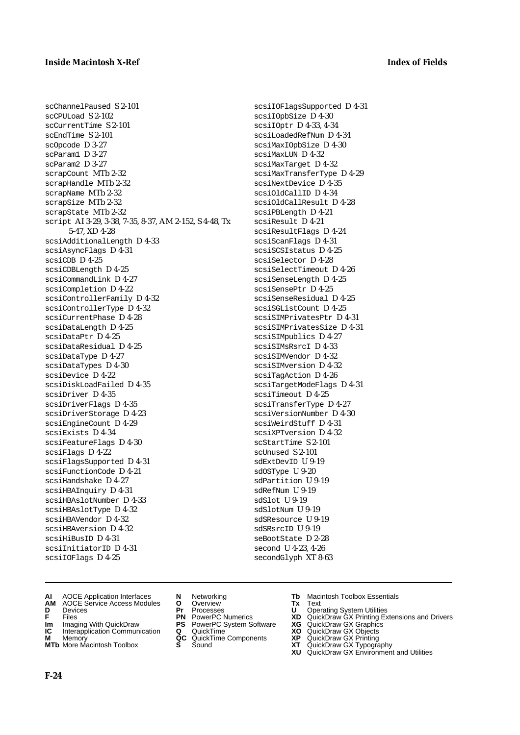scChannelPaused S 2-101

 $sec$ CPULoad  $S$  2-102 scCurrentTime S 2-101 scEndTime S 2-101 scOpcode D 3-27 scParam1 D 3-27 scParam2 D 3-27 scrapCount MTb 2-32 scrapHandle MTb 2-32 scrapName MTb 2-32 scrapSize MTb 2-32 scrapState MTb 2-32 script AI 3-29, 3-38, 7-35, 8-37, AM 2-152, S 4-48, Tx 5-47, XD 4-28 scsiAdditionalLength D 4-33 scsiAsyncFlags D 4-31 scsiCDB D 4-25 scsiCDBLength D 4-25 scsiCommandLink D 4-27 scsiCompletion D 4-22 scsiControllerFamily D 4-32 scsiControllerType D 4-32 scsiCurrentPhase D 4-28 scsiDataLength D 4-25 scsiDataPtr D 4-25 scsiDataResidual D 4-25 scsiDataType D 4-27 scsiDataTypes D 4-30 scsiDevice D 4-22 scsiDiskLoadFailed D 4-35 scsiDriver D 4-35 scsiDriverFlags D 4-35 scsiDriverStorage D 4-23 scsiEngineCount D 4-29 scsiExists D 4-34 scsiFeatureFlags D 4-30 scsiFlags D 4-22 scsiFlagsSupported D 4-31 scsiFunctionCode D 4-21 scsiHandshake D 4-27 scsiHBAInquiry D 4-31 scsiHBAslotNumber D 4-33 scsiHBAslotType D 4-32 scsiHBAVendor D 4-32 scsiHBAversion D 4-32 scsiHiBusID D 4-31 scsiInitiatorID D 4-31 scsiIOFlags D 4-25

scsiIOFlagsSupported D 4-31 scsiIOpbSize D 4-30 scsiIOptr D 4-33, 4-34 scsiLoadedRefNum D 4-34 scsiMaxIOpbSize D 4-30 scsiMaxLUN D 4-32 scsiMaxTarget D 4-32 scsiMaxTransferType D 4-29 scsiNextDevice D 4-35 scsiOldCallID D 4-34 scsiOldCallResult D 4-28 scsiPBLength D 4-21 scsiResult D 4-21 scsiResultFlags D 4-24 scsiScanFlags D 4-31 scsiSCSIstatus D 4-25 scsiSelector D 4-28 scsiSelectTimeout D 4-26 scsiSenseLength D 4-25 scsiSensePtr D 4-25 scsiSenseResidual D 4-25 scsiSGListCount D 4-25 scsiSIMPrivatesPtr D 4-31 scsiSIMPrivatesSize D 4-31 scsiSIMpublics D 4-27 scsiSIMsRsrcI D 4-33 scsiSIMVendor D 4-32 scsiSIMversion D 4-32 scsiTagAction D 4-26 scsiTargetModeFlags D 4-31 scsiTimeout D 4-25 scsiTransferType D 4-27 scsiVersionNumber D 4-30 scsiWeirdStuff D 4-31 scsiXPTversion D 4-32 scStartTime S 2-101 scUnused S 2-101 sdExtDevID U 9-19 sdOSType U 9-20 sdPartition U 9-19 sdRefNum U 9-19 sdSlot U 9-19 sdSlotNum U 9-19 sdSResource U 9-19 sdSRsrcID U 9-19 seBootState D 2-28 second U 4-23, 4-26 secondGlyph XT 8-63

- **AI** AOCE Application Interfaces **N** Networking **Tb** Macintosh Toolbox Essentials<br> **AM** AOCE Service Access Modules **O** Overview **Tx** Text<br> **D** Devices **Pr** Processes **U** Operating System Utilities
- **AM** AOCE Service Access Modules **O** Overview **Tx** Text
- 
- 
- **Im** Imaging With QuickDraw **PS** PowerPC System Software<br> **IC** Interapplication Communication **Q** QuickTime<br> **M** Memorv **GC** QuickTime Components
- **M** Memory **Manual Components QC** QuickTime Components **MTb** More Macintosh Toolbox **S** Sound
- **MTb** More Macintosh Toolbox **S** Sound **XT** QuickDraw GX Typography
- 
- **D** Devices **Pr** Processes **U** Operating System Utilities
	-
- **Im** Imaging With QuickDraw **PS** PowerPC System Software **XG** QuickDraw GX Graphics
	-
	-
- 
- 
- **F** Files **PN** PowerPC Numerics **XD** QuickDraw GX Printing Extensions and Drivers
	-
	-
	-
	-
	- **XU** QuickDraw GX Environment and Utilities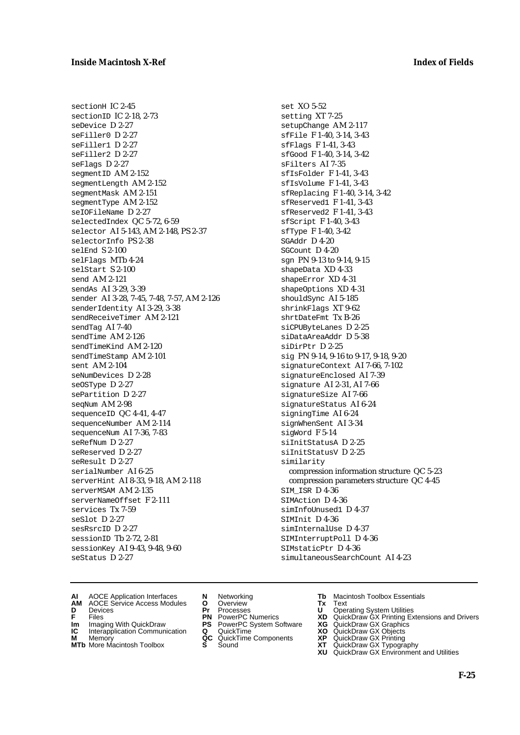sectionH IC 2-45 sectionID IC 2-18, 2-73 seDevice D 2-27 seFiller0 D 2-27 seFiller1 D 2-27 seFiller2 D 2-27 seFlags D 2-27 segmentID AM 2-152 segmentLength AM 2-152 segmentMask AM 2-151 segmentType AM 2-152 seIOFileName D 2-27 selectedIndex QC 5-72, 6-59 selector AI 5-143, AM 2-148, PS 2-37 selectorInfo PS 2-38 selEnd S 2-100 selFlags MTb 4-24 selStart S 2-100 send AM 2-121 sendAs AI 3-29, 3-39 sender AI 3-28, 7-45, 7-48, 7-57, AM 2-126 senderIdentity AI 3-29, 3-38 sendReceiveTimer AM 2-121 sendTag AI 7-40 sendTime AM 2-126 sendTimeKind AM 2-120 sendTimeStamp AM 2-101 sent AM 2-104 seNumDevices D 2-28 seOSType D 2-27 sePartition D 2-27 seqNum AM 2-98 sequenceID QC 4-41, 4-47 sequenceNumber AM 2-114 sequenceNum AI 7-36, 7-83 seRefNum D 2-27 seReserved D 2-27 seResult D 2-27 serialNumber AI 6-25 serverHint AI 8-33, 9-18, AM 2-118 serverMSAM AM 2-135 serverNameOffset F 2-111 services Tx 7-59 seSlot D 2-27 sesRsrcID D 2-27 sessionID Tb 2-72, 2-81 sessionKey AI 9-43, 9-48, 9-60 seStatus D 2-27

set XO 5-52 setting XT 7-25 setupChange AM 2-117 sfFile F 1-40, 3-14, 3-43 sfFlags F 1-41, 3-43 sfGood F 1-40, 3-14, 3-42 sFilters AI 7-35 sfIsFolder F 1-41, 3-43 sfIsVolume F 1-41, 3-43 sfReplacing F 1-40, 3-14, 3-42 sfReserved1 F 1-41, 3-43 sfReserved2 F 1-41, 3-43 sfScript F 1-40, 3-43 sfType F 1-40, 3-42 SGAddr D 4-20 SGCount D 4-20 sqn PN 9-13 to 9-14, 9-15 shapeData XD 4-33 shapeError XD 4-31 shapeOptions XD 4-31 shouldSync AI 5-185 shrinkFlags XT 9-62 shrtDateFmt Tx B-26 siCPUByteLanes D 2-25 siDataAreaAddr D 5-38 siDirPtr D 2-25 sig PN 9-14, 9-16 to 9-17, 9-18, 9-20 signatureContext AI 7-66, 7-102 signatureEnclosed AI 7-39 signature AI 2-31, AI 7-66 signatureSize AI 7-66 signatureStatus AI 6-24 signingTime AI 6-24 signWhenSent AI 3-34 sigWord F 5-14 siInitStatusA D 2-25 siInitStatusV D 2-25 similarity compression information structure QC 5-23 compression parameters structure QC 4-45 SIM\_ISR D 4-36 SIMAction D 4-36 simInfoUnused1 D 4-37 SIMInit D 4-36 simInternalUse D 4-37 SIMInterruptPoll D 4-36 SIMstaticPtr D 4-36 simultaneousSearchCount AI 4-23

- **AI** AOCE Application Interfaces **N** Networking **Tb** Macintosh Toolbox Essentials
- **AM** AOCE Service Access Modules **O** Overview **Tx** Text
- 
- **Im** Imaging With QuickDraw **PS** PowerPC System Software **XG** QuickDraw GX Graphics
- **Im** Imaging With QuickDraw **PS** PowerPC System Software<br> **IC** Interapplication Communication **Q** QuickTime<br> **M** Memorv **GC** QuickTime Components
- **M** Memory **M** Memory **QC** QuickTime Components<br>**MTb** More Macintosh Toolbox **S** Sound
- **MTb** More Macintosh Toolbox **S** Sound **XT** QuickDraw GX Typography
- 
- **D** Devices **Pr** Processes **U** Operating System Utilities
	-
	-
	-
	-
- 
- 
- **F** Files **PN** PowerPC Numerics **XD** QuickDraw GX Printing Extensions and Drivers
	-
	-
	-
	-
	- **XU** QuickDraw GX Environment and Utilities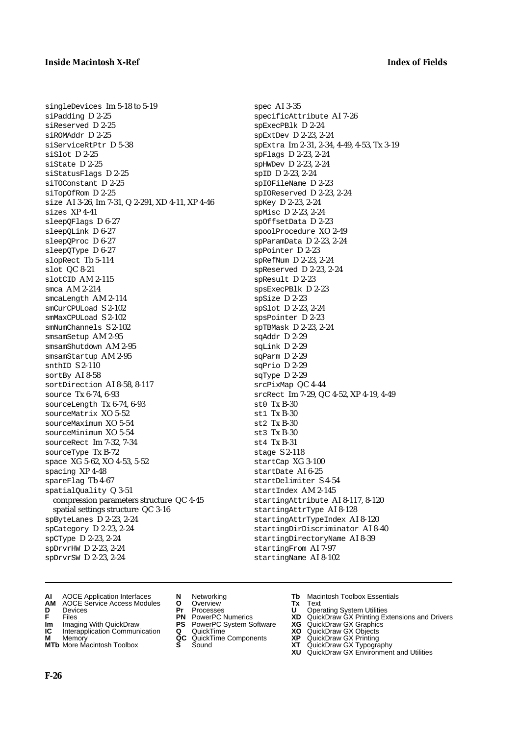singleDevices Im 5-18 to 5-19 siPadding D 2-25 siReserved D 2-25 siROMAddr D 2-25 siServiceRtPtr D 5-38 siSlot D 2-25 siState D 2-25 siStatusFlags D 2-25 siTOConstant D 2-25 siTopOfRom D 2-25 size AI 3-26, Im 7-31, Q 2-291, XD 4-11, XP 4-46 sizes XP 4-41 sleepQFlags D 6-27 sleepQLink D 6-27 sleepQProc D 6-27 sleepQType D 6-27 slopRect Tb 5-114 slot QC 8-21 slotCID AM 2-115 smca AM 2-214 smcaLength AM 2-114 smCurCPULoad S 2-102 smMaxCPULoad S 2-102 smNumChannels S 2-102 smsamSetup AM 2-95 smsamShutdown AM 2-95 smsamStartup AM 2-95 snthID S 2-110 sortBy AI 8-58 sortDirection AI 8-58, 8-117 source Tx 6-74, 6-93 sourceLength Tx 6-74, 6-93 sourceMatrix XO 5-52 sourceMaximum XO 5-54 sourceMinimum XO 5-54 sourceRect Im 7-32, 7-34 sourceType Tx B-72 space XG 5-62, XO 4-53, 5-52 spacing XP 4-48 spareFlag Tb 4-67 spatialQuality Q 3-51 compression parameters structure QC 4-45 spatial settings structure QC 3-16 spByteLanes D 2-23, 2-24 spCategory D 2-23, 2-24 spCType D 2-23, 2-24 spDrvrHW D 2-23, 2-24 spDrvrSW D 2-23, 2-24

spec AI 3-35 specificAttribute AI 7-26 spExecPBlk D 2-24 spExtDev D 2-23, 2-24 spExtra Im 2-31, 2-34, 4-49, 4-53, Tx 3-19 spFlags D 2-23, 2-24 spHWDev D 2-23, 2-24 spID D 2-23, 2-24 spIOFileName D 2-23 spIOReserved D 2-23, 2-24 spKey D 2-23, 2-24 spMisc D 2-23, 2-24 spOffsetData D 2-23 spoolProcedure XO 2-49 spParamData D 2-23, 2-24 spPointer D 2-23 spRefNum D 2-23, 2-24 spReserved D 2-23, 2-24 spResult D 2-23 spsExecPBlk D 2-23 spSize D 2-23 spSlot D 2-23, 2-24 spsPointer D 2-23 spTBMask D 2-23, 2-24 sqAddr D 2-29 sqLink D 2-29 sqParm D 2-29 sqPrio D 2-29 sqType D 2-29 srcPixMap QC 4-44 srcRect Im 7-29, QC 4-52, XP 4-19, 4-49 st0 Tx B-30 st1 Tx B-30 st2 Tx B-30 st3 Tx B-30 st4 Tx B-31 stage S 2-118 startCap XG 3-100 startDate AI 6-25 startDelimiter S 4-54 startIndex AM 2-145 startingAttribute AI 8-117, 8-120 startingAttrType AI 8-128 startingAttrTypeIndex AI 8-120 startingDirDiscriminator AI 8-40 startingDirectoryName AI 8-39 startingFrom AI 7-97 startingName AI 8-102

- **AI** AOCE Application Interfaces **N** Networking **Tb** Macintosh Toolbox Essentials<br> **AM** AOCE Service Access Modules **O** Overview **Tx** Text<br> **D** Devices **Pr** Processes **U** Operating System Utilities
- **AM** AOCE Service Access Modules **O** Overview **Tx** Text
- 
- 
- **Im** Imaging With QuickDraw **PS** PowerPC System Software<br> **IC** Interapplication Communication **Q** QuickTime<br> **M** Memory **GC** QuickTime Components
- 
- **M** Memory **COMPONENTS COMPONENTS COMPONENTS NEWSLA**<br> **M** More Macintosh Toolbox **S** Sound **MTb** More Macintosh Toolbox **S** Sound **XT** QuickDraw GX Typography
- 
- **D** Devices **Pr** Processes **U** Operating System Utilities
	-
	-
	-
	-
- 
- 
- **F** Files **PN** PowerPC Numerics **XD** QuickDraw GX Printing Extensions and Drivers
- **Im** Imaging With QuickDraw **PS** PowerPC System Software **XG** QuickDraw GX Graphics
	-
	-
	-
	- **XU** QuickDraw GX Environment and Utilities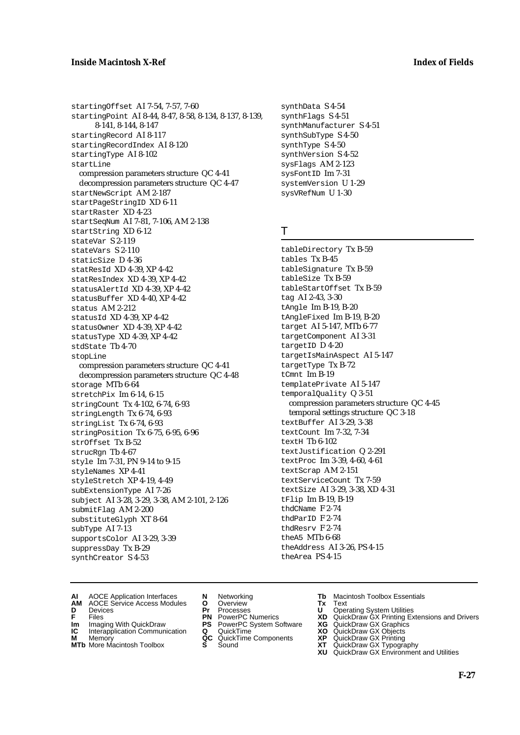startingOffset AI 7-54, 7-57, 7-60 startingPoint AI 8-44, 8-47, 8-58, 8-134, 8-137, 8-139, 8-141, 8-144, 8-147 startingRecord AI 8-117 startingRecordIndex AI 8-120 startingType AI 8-102 startLine compression parameters structure QC 4-41 decompression parameters structure QC 4-47 startNewScript AM 2-187 startPageStringID XD 6-11 startRaster XD 4-23 startSeqNum AI 7-81, 7-106, AM 2-138 startString XD 6-12 stateVar S 2-119 stateVars S 2-110 staticSize D 4-36 statResId XD 4-39, XP 4-42 statResIndex XD 4-39, XP 4-42 statusAlertId XD 4-39, XP 4-42 statusBuffer XD 4-40, XP 4-42 status AM 2-212 statusId XD 4-39, XP 4-42 statusOwner XD 4-39, XP 4-42 statusType XD 4-39, XP 4-42 stdState Tb 4-70 stopLine compression parameters structure QC 4-41 decompression parameters structure QC 4-48 storage MTb 6-64 stretchPix Im 6-14, 6-15 stringCount Tx 4-102, 6-74, 6-93 stringLength Tx 6-74, 6-93 stringList Tx 6-74, 6-93 stringPosition Tx 6-75, 6-95, 6-96 strOffset Tx B-52 strucRgn Tb 4-67 style Im 7-31, PN 9-14 to 9-15 styleNames XP 4-41 styleStretch XP 4-19, 4-49 subExtensionType AI 7-26 subject AI 3-28, 3-29, 3-38, AM 2-101, 2-126 submitFlag AM 2-200 substituteGlyph XT 8-64 subType AI 7-13 supportsColor AI 3-29, 3-39 suppressDay Tx B-29 synthCreator S 4-53

synthData S 4-54 synthFlags S 4-51 synthManufacturer S 4-51 synthSubType S 4-50 synthType S 4-50 synthVersion S 4-52 sysFlags AM 2-123 sysFontID Im 7-31 systemVersion U 1-29 sysVRefNum U 1-30

### T

tableDirectory Tx B-59 tables Tx B-45 tableSignature Tx B-59 tableSize Tx B-59 tableStartOffset Tx B-59 tag AI 2-43, 3-30 tAngle Im B-19, B-20 tAngleFixed Im B-19, B-20 target AI 5-147, MTb 6-77 targetComponent AI 3-31 targetID D 4-20 targetIsMainAspect AI 5-147 targetType Tx B-72 tCmnt Im B-19 templatePrivate AI 5-147 temporalQuality Q 3-51 compression parameters structure QC 4-45 temporal settings structure QC 3-18 textBuffer AI 3-29, 3-38 textCount Im 7-32, 7-34 textH Tb 6-102 textJustification Q 2-291 textProc Im 3-39, 4-60, 4-61 textScrap AM 2-151 textServiceCount Tx 7-59 textSize AI 3-29, 3-38, XD 4-31 tFlip Im B-19, B-19 thdCName F 2-74 thdParID F 2-74 thdResrv F 2-74 theA5 MTb 6-68 theAddress AI 3-26, PS 4-15 theArea PS 4-15

- **AI** AOCE Application Interfaces **N** Networking **Tb** Macintosh Toolbox Essentials
- **AM** AOCE Service Access Modules **O** Overview **Tx** Text
- 
- **Im** Files<br> **Im** Imaging With QuickDraw **PS** PowerPC System Software **XG**<br> **IC** Interapplication Communication **Q** QuickTime **XO**
- **IC** Interapplication Communication **Q** QuickTime **XO M** Memory **XP QC** QuickTime Components **XP**
- **M** Memory **CC** QuickTime Components **XP**<br> **MTb** More Macintosh Toolbox **S** Sound **XT**
- 
- 
- **D** Devices **Pr** Processes **U** Operating System Utilities
	-
	-
	-
	-
- 
- 
- **F** Files **PN** PowerPC Numerics **XD** QuickDraw GX Printing Extensions and Drivers
	-
	-
	-
- **MTb** More Macintosh Toolbox **S** Sound **XT** QuickDraw GX Typography
	- **XU** QuickDraw GX Environment and Utilities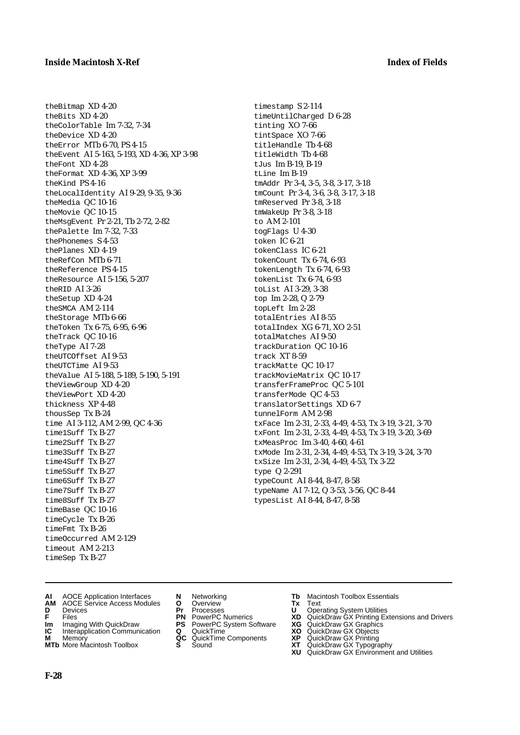theBitmap XD 4-20

theBits XD 4-20 theColorTable Im 7-32, 7-34 theDevice XD 4-20 theError MTb 6-70, PS 4-15 theEvent AI 5-163, 5-193, XD 4-36, XP 3-98 theFont XD 4-28 theFormat XD 4-36, XP 3-99 theKind PS 4-16 theLocalIdentity AI 9-29, 9-35, 9-36 theMedia QC 10-16 theMovie QC 10-15 theMsgEvent Pr 2-21, Tb 2-72, 2-82 thePalette Im 7-32, 7-33 thePhonemes S 4-53 thePlanes XD 4-19 theRefCon MTb 6-71 theReference PS 4-15 theResource AI 5-156, 5-207 theRID AI 3-26 theSetup XD 4-24 theSMCA AM 2-114 theStorage MTb 6-66 theToken Tx 6-75, 6-95, 6-96 theTrack QC 10-16 theType AI 7-28 theUTCOffset AI 9-53 theUTCTime AI 9-53 theValue AI 5-188, 5-189, 5-190, 5-191 theViewGroup XD 4-20 theViewPort XD 4-20 thickness XP 4-48 thousSep Tx B-24 time AI 3-112, AM 2-99, QC 4-36 time1Suff Tx B-27 time2Suff Tx B-27 time3Suff Tx B-27 time4Suff Tx B-27 time5Suff Tx B-27 time6Suff Tx B-27 time7Suff Tx B-27 time8Suff Tx B-27 timeBase QC 10-16 timeCycle Tx B-26 timeFmt Tx B-26 timeOccurred AM 2-129 timeout AM 2-213 timeSep Tx B-27

timestamp S 2-114 timeUntilCharged D 6-28 tinting XO 7-66 tintSpace XO 7-66 titleHandle Tb 4-68 titleWidth Tb 4-68 tJus Im B-19, B-19 tLine Im B-19 tmAddr Pr 3-4, 3-5, 3-8, 3-17, 3-18 tmCount Pr 3-4, 3-6, 3-8, 3-17, 3-18 tmReserved Pr 3-8, 3-18 tmWakeUp Pr 3-8, 3-18 to AM 2-101 togFlags U 4-30 token IC 6-21 tokenClass IC 6-21 tokenCount Tx 6-74, 6-93 tokenLength Tx 6-74, 6-93 tokenList Tx 6-74, 6-93 toList AI 3-29, 3-38 top Im 2-28, Q 2-79 topLeft Im 2-28 totalEntries AI 8-55 totalIndex XG 6-71, XO 2-51 totalMatches AI 9-50 trackDuration QC 10-16 track XT 8-59 trackMatte QC 10-17 trackMovieMatrix QC 10-17 transferFrameProc QC 5-101 transferMode QC 4-53 translatorSettings XD 6-7 tunnelForm AM 2-98 txFace Im 2-31, 2-33, 4-49, 4-53, Tx 3-19, 3-21, 3-70 txFont Im 2-31, 2-33, 4-49, 4-53, Tx 3-19, 3-20, 3-69 txMeasProc Im 3-40, 4-60, 4-61 txMode Im 2-31, 2-34, 4-49, 4-53, Tx 3-19, 3-24, 3-70 txSize Im 2-31, 2-34, 4-49, 4-53, Tx 3-22 type Q 2-291 typeCount AI 8-44, 8-47, 8-58 typeName AI 7-12, Q 3-53, 3-56, QC 8-44 typesList AI 8-44, 8-47, 8-58

- **AI** AOCE Application Interfaces **N** Networking **Tb** Macintosh Toolbox Essentials<br> **AM** AOCE Service Access Modules **O** Overview **Tx** Text<br> **D** Devices **Pr** Processes **U** Operating System Utilities
- **AM** AOCE Service Access Modules **O** Overview **Tx** Text
- 
- 
- **Im** Imaging With QuickDraw **PS** PowerPC System Software<br> **IC** Interapplication Communication **Q** QuickTime<br> **M** Memory **GC** QuickTime Components
- 
- **M** Memory **COMPONENTS COMPONENTS COMPONENTS NEWSLA**<br> **M** More Macintosh Toolbox **S** Sound **MTb** More Macintosh Toolbox **S** Sound **XT** QuickDraw GX Typography
- 
- **D** Devices **Pr** Processes **U** Operating System Utilities
	-
	-
	-
	-
- 
- 
- **F** Files **PN** PowerPC Numerics **XD** QuickDraw GX Printing Extensions and Drivers
- **Im** Imaging With QuickDraw **PS** PowerPC System Software **XG** QuickDraw GX Graphics
	-
	-
	-
	- **XU** QuickDraw GX Environment and Utilities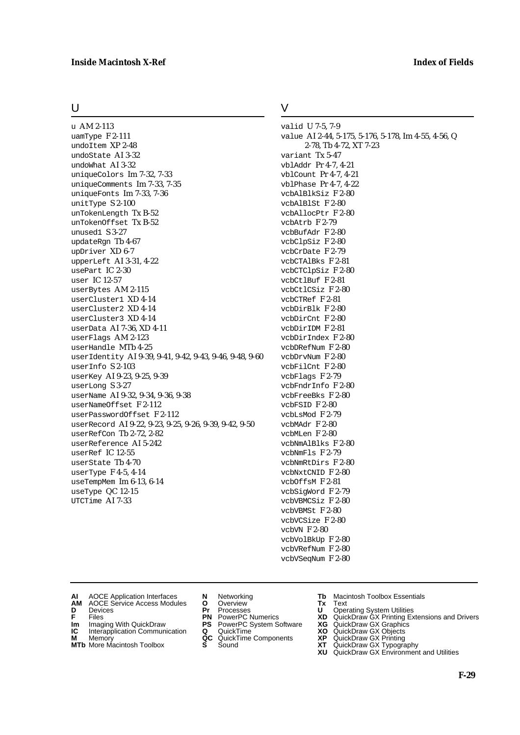### **Inside Macintosh X-Ref Index of Fields**

U

u AM 2-113 uamType F 2-111 undoItem XP 2-48 undoState AI 3-32 undoWhat AI 3-32 uniqueColors Im 7-32, 7-33 uniqueComments Im 7-33, 7-35 uniqueFonts Im 7-33, 7-36 unitType S 2-100 unTokenLength Tx B-52 unTokenOffset Tx B-52 unused1 S 3-27 updateRgn Tb 4-67 upDriver XD 6-7 upperLeft AI 3-31, 4-22 usePart IC 2-30 user IC 12-57 userBytes AM 2-115 userCluster1 XD 4-14 userCluster2 XD 4-14 userCluster3 XD 4-14 userData AI 7-36, XD 4-11 userFlags AM 2-123 userHandle MTb 4-25 userIdentity AI 9-39, 9-41, 9-42, 9-43, 9-46, 9-48, 9-60 userInfo S 2-103 userKey AI 9-23, 9-25, 9-39 userLong S 3-27 userName AI 9-32, 9-34, 9-36, 9-38 userNameOffset F 2-112 userPasswordOffset F 2-112 userRecord AI 9-22, 9-23, 9-25, 9-26, 9-39, 9-42, 9-50 userRefCon Tb 2-72, 2-82 userReference AI 5-242 userRef IC 12-55 userState Tb 4-70 userType F 4-5, 4-14 useTempMem Im 6-13, 6-14 useType QC 12-15 UTCTime AI 7-33

### V

valid U 7-5, 7-9 value AI 2-44, 5-175, 5-176, 5-178, Im 4-55, 4-56, Q 2-78, Tb 4-72, XT 7-23 variant Tx 5-47 vblAddr Pr 4-7, 4-21 vblCount Pr 4-7, 4-21 vblPhase Pr 4-7, 4-22 vcbAlBlkSiz F 2-80 vcbAlBlSt F 2-80 vcbAllocPtr F 2-80 vcbAtrb F 2-79 vcbBufAdr F 2-80 vcbClpSiz F 2-80 vcbCrDate F 2-79 vcbCTAlBks F 2-81 vcbCTClpSiz F 2-80 vcbCtlBuf F 2-81 vcbCtlCSiz F 2-80 vcbCTRef F 2-81 vcbDirBlk F 2-80 vcbDirCnt F 2-80 vcbDirIDM F 2-81 vcbDirIndex F 2-80 vcbDRefNum F 2-80 vcbDrvNum F 2-80 vcbFilCnt F 2-80 vcbFlags F 2-79 vcbFndrInfo F 2-80 vcbFreeBks F 2-80 vcbFSID F 2-80  $vcblsmod$  F  $2-79$ vcbMAdr F 2-80 vcbMLen F 2-80 vcbNmAlBlks F 2-80 vcbNmFls F 2-79 vcbNmRtDirs F 2-80 vcbNxtCNID F 2-80 vcbOffsM F 2-81 vcbSigWord F 2-79 vcbVBMCSiz F 2-80 vcbVBMSt F 2-80 vcbVCSize F 2-80 vcbVN F 2-80 vcbVolBkUp F 2-80 vcbVRefNum F 2-80 vcbVSeqNum F 2-80

- 
- **AI** AOCE Application Interfaces **N** Networking **Tb** Macintosh Toolbox Essentials<br> **AM** AOCE Service Access Modules **O** Overview **Tx** Text<br> **D** Devices **Pr** Processes **U** Operating System Utilities AOCE Service Access Modules **O** Overview **Tx** Text<br>Devices **Devices Devices Devices**
- 
- 
- **Im** Files<br> **Im** Imaging With QuickDraw **PS** PowerPC System Software **XG**<br> **IC** Interapplication Communication **Q** QuickTime **XO**
- **IC** Interapplication Communication **Q** QuickTime **XO M** Memory **XO QC** QuickTime Components **XP M** Memory **CONSISTENT COMPONENT MEMORY MEMORY MEMORY AND MEMORY OF A VIDEO MEMORY CONSISTENT CONSISTENT CONSISTENT CONSISTENT CONSISTENT CONSISTENT CONSISTENT CONSISTENT CONSISTENT CONSISTENT CONSISTENT CONSISTENT CONSIST**
- **MTb** More Macintosh Toolbox **S** Sound **XT** QuickDraw GX Typography
- 
- **D** Devices **Pr** Processes **U** Operating System Utilities
	-
	-
	-
	-
- 
- 
- **F** Files **PN** PowerPC Numerics **XD** QuickDraw GX Printing Extensions and Drivers
	-
	-
	-
	-
	- **XU** QuickDraw GX Environment and Utilities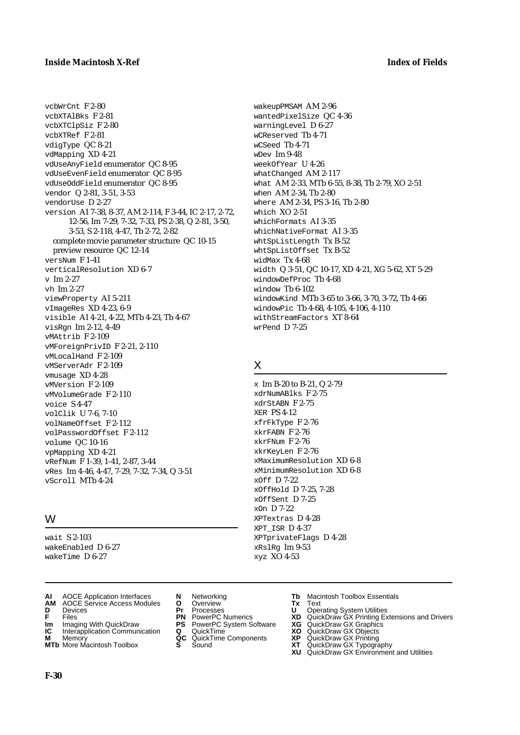vcbWrCnt F 2-80 vcbXTAlBks F 2-81 vcbXTClpSiz F 2-80 vcbXTRef F 2-81 vdigType QC 8-21 vdMapping XD 4-21 vdUseAnyField enumerator QC 8-95 vdUseEvenField enumerator QC 8-95 vdUseOddField enumerator QC 8-95 vendor Q 2-81, 3-51, 3-53 vendorUse D 2-27 version AI 7-38, 8-37, AM 2-114, F 3-44, IC 2-17, 2-72, 12-56, Im 7-29, 7-32, 7-33, PS 2-38, Q 2-81, 3-50, 3-53, S 2-118, 4-47, Tb 2-72, 2-82 complete movie parameter structure QC 10-15 preview resource QC 12-14 versNum F 1-41 verticalResolution XD 6-7 v Im 2-27 vh Im 2-27 viewProperty AI 5-211 vImageRes XD 4-23, 6-9 visible AI 4-21, 4-22, MTb 4-23, Tb 4-67 visRgn Im 2-12, 4-49 vMAttrib F 2-109 vMForeignPrivID F 2-21, 2-110 vMLocalHand F 2-109 vMServerAdr F 2-109 vmusage XD 4-28 vMVersion F 2-109 vMVolumeGrade F 2-110 voice S 4-47 volClik U 7-6, 7-10 volNameOffset F 2-112 volPasswordOffset F 2-112 volume QC 10-16 vpMapping XD 4-21 vRefNum F 1-39, 1-41, 2-87, 3-44 vRes Im 4-46, 4-47, 7-29, 7-32, 7-34, Q 3-51 vScroll MTb 4-24

### W

wait S 2-103 wakeEnabled D 6-27 wakeTime D 6-27

- **AI** AOCE Application Interfaces **N** Networking **Tb** Macintosh Toolbox Essentials<br> **AM** AOCE Service Access Modules **O** Overview **Tx** Text<br> **D** Devices **Pr** Processes **U** Operating System Utilities
- **AM** AOCE Service Access Modules **O** Overview **Tx** Text
- 
- 
- **Im** Imaging With QuickDraw **PS** PowerPC System Software<br> **IC** Interapplication Communication **Q** QuickTime<br> **M** Memorv **GC** QuickTime Components
- **M** Memory **Manual Components QC** QuickTime Components **MTb** More Macintosh Toolbox **S** Sound
- **MTb** More Macintosh Toolbox **S** Sound **XT** QuickDraw GX Typography

wakeupPMSAM AM 2-96 wantedPixelSize QC 4-36 warningLevel D 6-27 wCReserved Tb 4-71 wCSeed Tb 4-71 wDev Im 9-48 weekOfYear U 4-26 whatChanged AM 2-117 what AM 2-33, MTb 6-55, 8-38, Tb 2-79, XO 2-51 when AM 2-34, Tb 2-80 where AM 2-34, PS 3-16, Tb 2-80 which XO 2-51 whichFormats AI 3-35 whichNativeFormat AI 3-35 whtSpListLength Tx B-52 whtSpListOffset Tx B-52 widMax Tx 4-68 width Q 3-51, QC 10-17, XD 4-21, XG 5-62, XT 5-29 windowDefProc Tb 4-68 window Tb 6-102 windowKind MTb 3-65 to 3-66, 3-70, 3-72, Tb 4-66 windowPic Tb 4-68, 4-105, 4-106, 4-110 withStreamFactors XT 8-64 wrPend D 7-25

### X

x Im B-20 to B-21, Q 2-79 xdrNumABlks F 2-75 xdrStABN F 2-75 XER PS 4-12 xfrFkType F 2-76 xkrFABN F 2-76 xkrFNum F 2-76 xkrKeyLen F 2-76 xMaximumResolution XD 6-8 xMinimumResolution XD 6-8 xOff D 7-22 xOffHold D 7-25, 7-28 xOffSent D 7-25 xOn D 7-22 XPTextras D 4-28 XPT\_ISR D 4-37 XPTprivateFlags D 4-28 xRslRg Im 9-53 xyz XO 4-53

- 
- **D** Devices **Pr** Processes **U** Operating System Utilities
- **F** Files **PN** PowerPC Numerics **XD** QuickDraw GX Printing Extensions and Drivers
- **Im** Imaging With QuickDraw **PS** PowerPC System Software **XG** QuickDraw GX Graphics
	-
	-
	-
	- **XU** QuickDraw GX Environment and Utilities